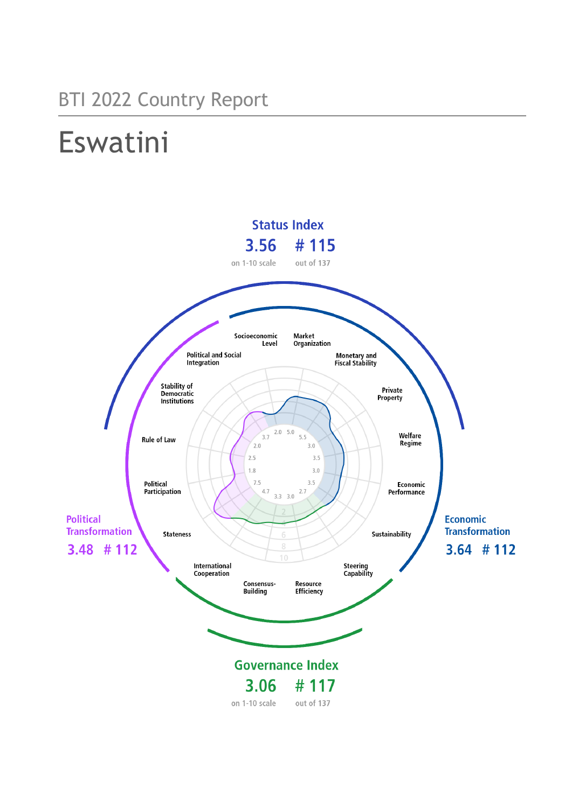# BTI 2022 Country Report

# Eswatini

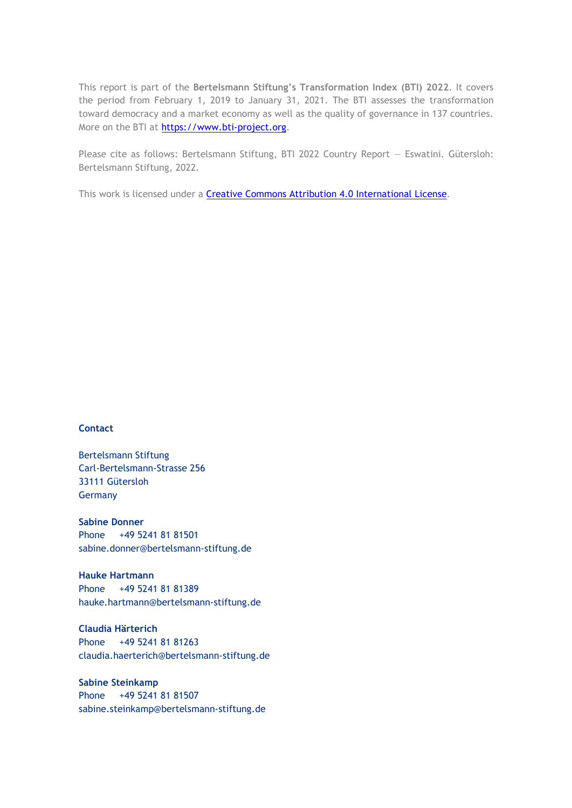This report is part of the **Bertelsmann Stiftung's Transformation Index (BTI) 2022**. It covers the period from February 1, 2019 to January 31, 2021. The BTI assesses the transformation toward democracy and a market economy as well as the quality of governance in 137 countries. More on the BTI at [https://www.bti-project.org.](https://www.bti-project.org/)

Please cite as follows: Bertelsmann Stiftung, BTI 2022 Country Report — Eswatini. Gütersloh: Bertelsmann Stiftung, 2022.

This work is licensed under a **Creative Commons Attribution 4.0 International License**.

### **Contact**

Bertelsmann Stiftung Carl-Bertelsmann-Strasse 256 33111 Gütersloh Germany

**Sabine Donner** Phone +49 5241 81 81501 sabine.donner@bertelsmann-stiftung.de

**Hauke Hartmann** Phone +49 5241 81 81389 hauke.hartmann@bertelsmann-stiftung.de

**Claudia Härterich** Phone +49 5241 81 81263 claudia.haerterich@bertelsmann-stiftung.de

### **Sabine Steinkamp** Phone +49 5241 81 81507 sabine.steinkamp@bertelsmann-stiftung.de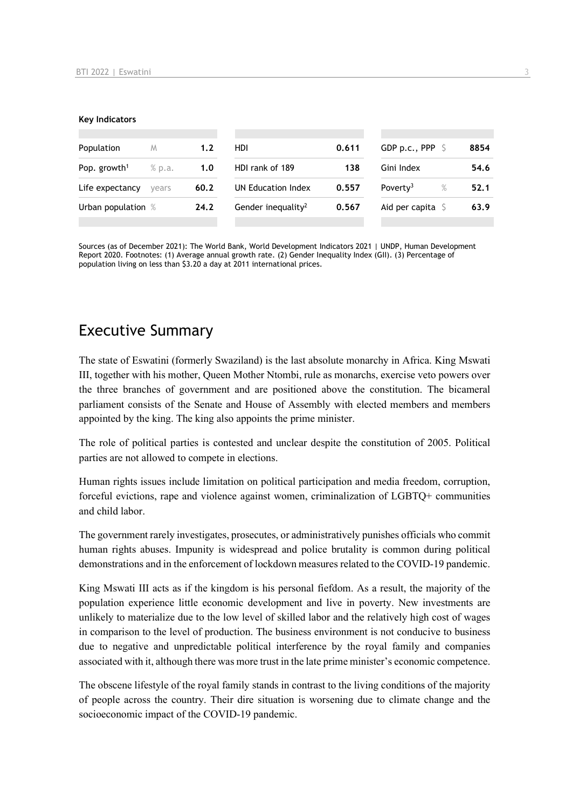#### **Key Indicators**

| Population               | M      | 1.2  | HDI.                           | 0.611 | GDP p.c., PPP $\ S$          | 8854 |
|--------------------------|--------|------|--------------------------------|-------|------------------------------|------|
| Pop. growth <sup>1</sup> | % p.a. | 1.0  | HDI rank of 189                | 138   | Gini Index                   | 54.6 |
| Life expectancy          | vears  | 60.2 | UN Education Index             | 0.557 | Poverty <sup>3</sup><br>$\%$ | 52.1 |
| Urban population %       |        | 24.2 | Gender inequality <sup>2</sup> | 0.567 | Aid per capita $\sqrt{5}$    | 63.9 |
|                          |        |      |                                |       |                              |      |

Sources (as of December 2021): The World Bank, World Development Indicators 2021 | UNDP, Human Development Report 2020. Footnotes: (1) Average annual growth rate. (2) Gender Inequality Index (GII). (3) Percentage of population living on less than \$3.20 a day at 2011 international prices.

# Executive Summary

The state of Eswatini (formerly Swaziland) is the last absolute monarchy in Africa. King Mswati III, together with his mother, Queen Mother Ntombi, rule as monarchs, exercise veto powers over the three branches of government and are positioned above the constitution. The bicameral parliament consists of the Senate and House of Assembly with elected members and members appointed by the king. The king also appoints the prime minister.

The role of political parties is contested and unclear despite the constitution of 2005. Political parties are not allowed to compete in elections.

Human rights issues include limitation on political participation and media freedom, corruption, forceful evictions, rape and violence against women, criminalization of LGBTQ+ communities and child labor.

The government rarely investigates, prosecutes, or administratively punishes officials who commit human rights abuses. Impunity is widespread and police brutality is common during political demonstrations and in the enforcement of lockdown measures related to the COVID-19 pandemic.

King Mswati III acts as if the kingdom is his personal fiefdom. As a result, the majority of the population experience little economic development and live in poverty. New investments are unlikely to materialize due to the low level of skilled labor and the relatively high cost of wages in comparison to the level of production. The business environment is not conducive to business due to negative and unpredictable political interference by the royal family and companies associated with it, although there was more trust in the late prime minister's economic competence.

The obscene lifestyle of the royal family stands in contrast to the living conditions of the majority of people across the country. Their dire situation is worsening due to climate change and the socioeconomic impact of the COVID-19 pandemic.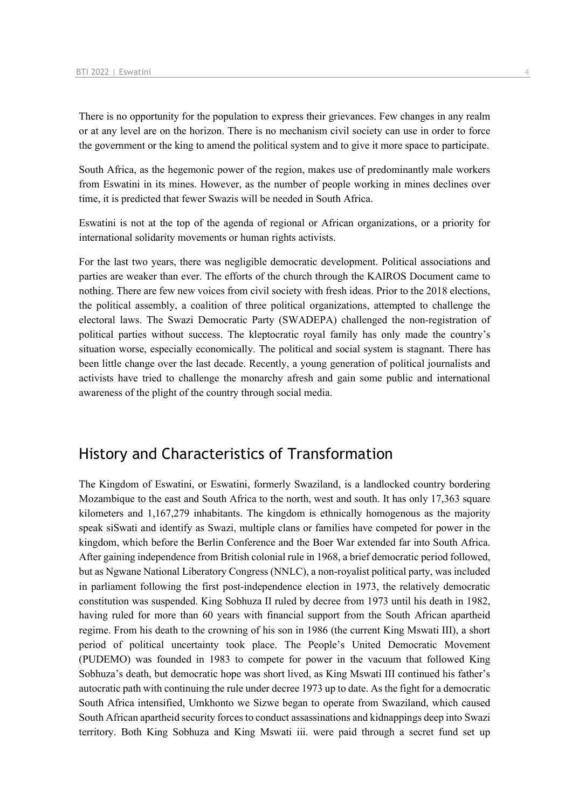There is no opportunity for the population to express their grievances. Few changes in any realm or at any level are on the horizon. There is no mechanism civil society can use in order to force the government or the king to amend the political system and to give it more space to participate.

South Africa, as the hegemonic power of the region, makes use of predominantly male workers from Eswatini in its mines. However, as the number of people working in mines declines over time, it is predicted that fewer Swazis will be needed in South Africa.

Eswatini is not at the top of the agenda of regional or African organizations, or a priority for international solidarity movements or human rights activists.

For the last two years, there was negligible democratic development. Political associations and parties are weaker than ever. The efforts of the church through the KAIROS Document came to nothing. There are few new voices from civil society with fresh ideas. Prior to the 2018 elections, the political assembly, a coalition of three political organizations, attempted to challenge the electoral laws. The Swazi Democratic Party (SWADEPA) challenged the non-registration of political parties without success. The kleptocratic royal family has only made the country's situation worse, especially economically. The political and social system is stagnant. There has been little change over the last decade. Recently, a young generation of political journalists and activists have tried to challenge the monarchy afresh and gain some public and international awareness of the plight of the country through social media.

# History and Characteristics of Transformation

The Kingdom of Eswatini, or Eswatini, formerly Swaziland, is a landlocked country bordering Mozambique to the east and South Africa to the north, west and south. It has only 17,363 square kilometers and 1,167,279 inhabitants. The kingdom is ethnically homogenous as the majority speak siSwati and identify as Swazi, multiple clans or families have competed for power in the kingdom, which before the Berlin Conference and the Boer War extended far into South Africa. After gaining independence from British colonial rule in 1968, a brief democratic period followed, but as Ngwane National Liberatory Congress (NNLC), a non-royalist political party, was included in parliament following the first post-independence election in 1973, the relatively democratic constitution was suspended. King Sobhuza II ruled by decree from 1973 until his death in 1982, having ruled for more than 60 years with financial support from the South African apartheid regime. From his death to the crowning of his son in 1986 (the current King Mswati III), a short period of political uncertainty took place. The People's United Democratic Movement (PUDEMO) was founded in 1983 to compete for power in the vacuum that followed King Sobhuza's death, but democratic hope was short lived, as King Mswati III continued his father's autocratic path with continuing the rule under decree 1973 up to date. As the fight for a democratic South Africa intensified, Umkhonto we Sizwe began to operate from Swaziland, which caused South African apartheid security forces to conduct assassinations and kidnappings deep into Swazi territory. Both King Sobhuza and King Mswati iii. were paid through a secret fund set up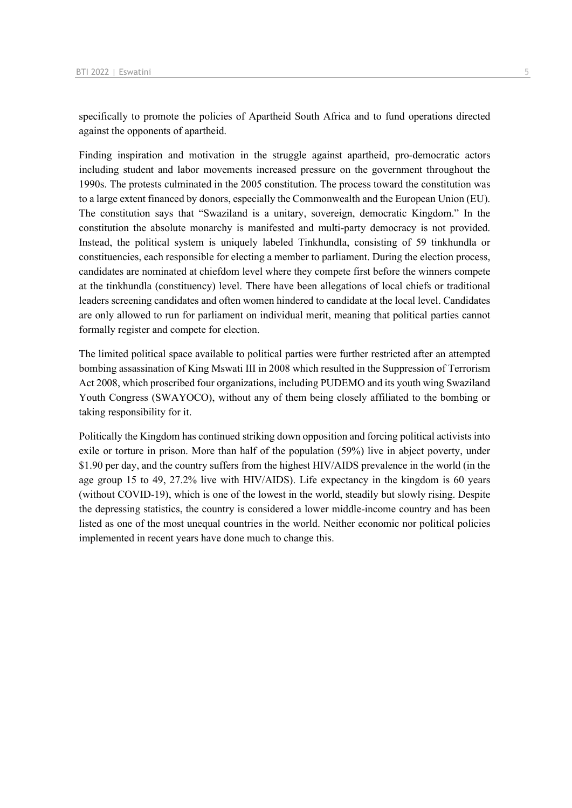specifically to promote the policies of Apartheid South Africa and to fund operations directed against the opponents of apartheid.

Finding inspiration and motivation in the struggle against apartheid, pro-democratic actors including student and labor movements increased pressure on the government throughout the 1990s. The protests culminated in the 2005 constitution. The process toward the constitution was to a large extent financed by donors, especially the Commonwealth and the European Union (EU). The constitution says that "Swaziland is a unitary, sovereign, democratic Kingdom." In the constitution the absolute monarchy is manifested and multi-party democracy is not provided. Instead, the political system is uniquely labeled Tinkhundla, consisting of 59 tinkhundla or constituencies, each responsible for electing a member to parliament. During the election process, candidates are nominated at chiefdom level where they compete first before the winners compete at the tinkhundla (constituency) level. There have been allegations of local chiefs or traditional leaders screening candidates and often women hindered to candidate at the local level. Candidates are only allowed to run for parliament on individual merit, meaning that political parties cannot formally register and compete for election.

The limited political space available to political parties were further restricted after an attempted bombing assassination of King Mswati III in 2008 which resulted in the Suppression of Terrorism Act 2008, which proscribed four organizations, including PUDEMO and its youth wing Swaziland Youth Congress (SWAYOCO), without any of them being closely affiliated to the bombing or taking responsibility for it.

Politically the Kingdom has continued striking down opposition and forcing political activists into exile or torture in prison. More than half of the population (59%) live in abject poverty, under \$1.90 per day, and the country suffers from the highest HIV/AIDS prevalence in the world (in the age group 15 to 49, 27.2% live with HIV/AIDS). Life expectancy in the kingdom is 60 years (without COVID-19), which is one of the lowest in the world, steadily but slowly rising. Despite the depressing statistics, the country is considered a lower middle-income country and has been listed as one of the most unequal countries in the world. Neither economic nor political policies implemented in recent years have done much to change this.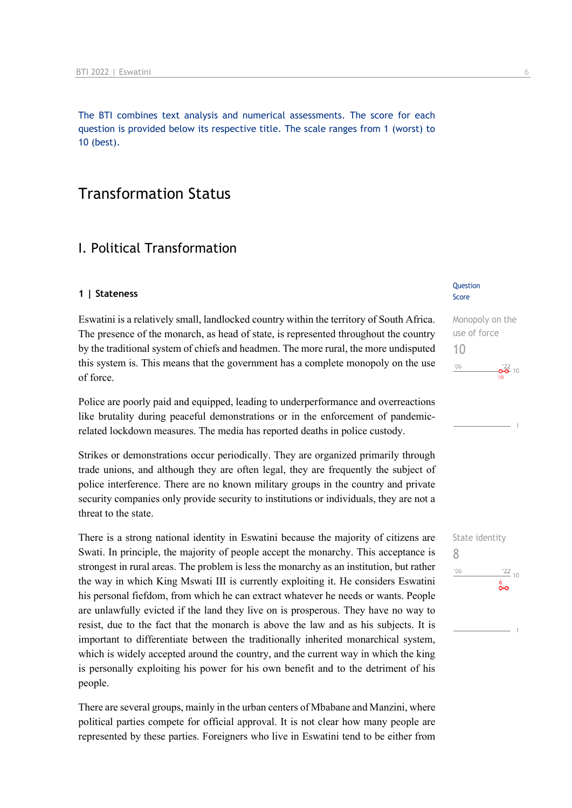The BTI combines text analysis and numerical assessments. The score for each question is provided below its respective title. The scale ranges from 1 (worst) to 10 (best).

# Transformation Status

# I. Political Transformation

### **1 | Stateness**

Eswatini is a relatively small, landlocked country within the territory of South Africa. The presence of the monarch, as head of state, is represented throughout the country by the traditional system of chiefs and headmen. The more rural, the more undisputed this system is. This means that the government has a complete monopoly on the use of force.

Police are poorly paid and equipped, leading to underperformance and overreactions like brutality during peaceful demonstrations or in the enforcement of pandemicrelated lockdown measures. The media has reported deaths in police custody.

Strikes or demonstrations occur periodically. They are organized primarily through trade unions, and although they are often legal, they are frequently the subject of police interference. There are no known military groups in the country and private security companies only provide security to institutions or individuals, they are not a threat to the state.

There is a strong national identity in Eswatini because the majority of citizens are Swati. In principle, the majority of people accept the monarchy. This acceptance is strongest in rural areas. The problem is less the monarchy as an institution, but rather the way in which King Mswati III is currently exploiting it. He considers Eswatini his personal fiefdom, from which he can extract whatever he needs or wants. People are unlawfully evicted if the land they live on is prosperous. They have no way to resist, due to the fact that the monarch is above the law and as his subjects. It is important to differentiate between the traditionally inherited monarchical system, which is widely accepted around the country, and the current way in which the king is personally exploiting his power for his own benefit and to the detriment of his people.

There are several groups, mainly in the urban centers of Mbabane and Manzini, where political parties compete for official approval. It is not clear how many people are represented by these parties. Foreigners who live in Eswatini tend to be either from

### Question Score

Monopoly on the use of force 10  $^{\prime}06$  $-6^{\frac{22}{2}}$  10

# State identity 8 $n<sub>6</sub>$  $\frac{22}{10}$ း<br>၀-၀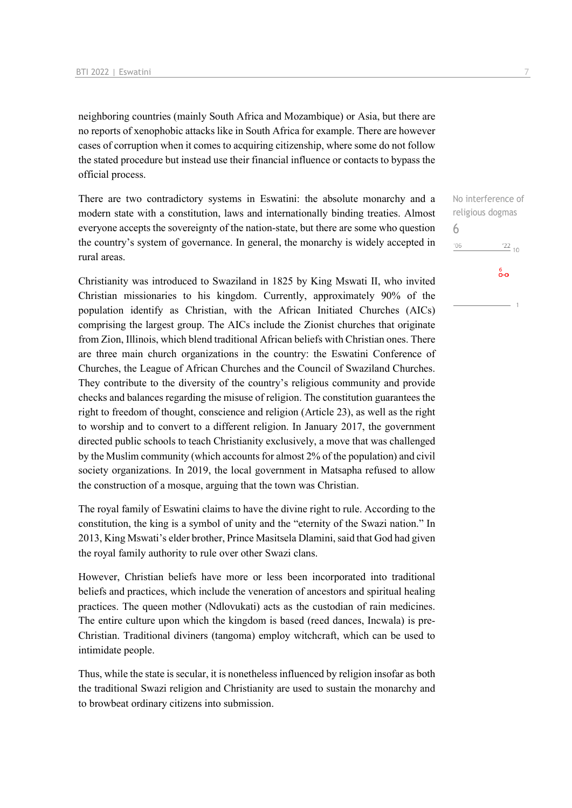neighboring countries (mainly South Africa and Mozambique) or Asia, but there are no reports of xenophobic attacks like in South Africa for example. There are however cases of corruption when it comes to acquiring citizenship, where some do not follow the stated procedure but instead use their financial influence or contacts to bypass the official process.

There are two contradictory systems in Eswatini: the absolute monarchy and a modern state with a constitution, laws and internationally binding treaties. Almost everyone accepts the sovereignty of the nation-state, but there are some who question the country's system of governance. In general, the monarchy is widely accepted in rural areas.

Christianity was introduced to Swaziland in 1825 by King Mswati II, who invited Christian missionaries to his kingdom. Currently, approximately 90% of the population identify as Christian, with the African Initiated Churches (AICs) comprising the largest group. The AICs include the Zionist churches that originate from Zion, Illinois, which blend traditional African beliefs with Christian ones. There are three main church organizations in the country: the Eswatini Conference of Churches, the League of African Churches and the Council of Swaziland Churches. They contribute to the diversity of the country's religious community and provide checks and balances regarding the misuse of religion. The constitution guarantees the right to freedom of thought, conscience and religion (Article 23), as well as the right to worship and to convert to a different religion. In January 2017, the government directed public schools to teach Christianity exclusively, a move that was challenged by the Muslim community (which accounts for almost 2% of the population) and civil society organizations. In 2019, the local government in Matsapha refused to allow the construction of a mosque, arguing that the town was Christian.

The royal family of Eswatini claims to have the divine right to rule. According to the constitution, the king is a symbol of unity and the "eternity of the Swazi nation." In 2013, King Mswati's elder brother, Prince Masitsela Dlamini, said that God had given the royal family authority to rule over other Swazi clans.

However, Christian beliefs have more or less been incorporated into traditional beliefs and practices, which include the veneration of ancestors and spiritual healing practices. The queen mother (Ndlovukati) acts as the custodian of rain medicines. The entire culture upon which the kingdom is based (reed dances, Incwala) is pre-Christian. Traditional diviners (tangoma) employ witchcraft, which can be used to intimidate people.

Thus, while the state is secular, it is nonetheless influenced by religion insofar as both the traditional Swazi religion and Christianity are used to sustain the monarchy and to browbeat ordinary citizens into submission.

No interference of religious dogmas 6 $'06$  $\frac{22}{10}$ စိတ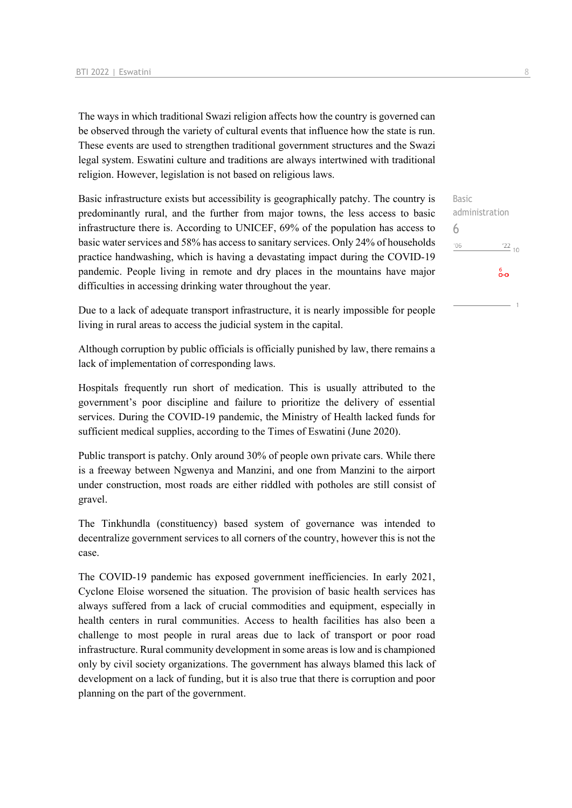The ways in which traditional Swazi religion affects how the country is governed can be observed through the variety of cultural events that influence how the state is run. These events are used to strengthen traditional government structures and the Swazi legal system. Eswatini culture and traditions are always intertwined with traditional religion. However, legislation is not based on religious laws.

Basic infrastructure exists but accessibility is geographically patchy. The country is predominantly rural, and the further from major towns, the less access to basic infrastructure there is. According to UNICEF, 69% of the population has access to basic water services and 58% has access to sanitary services. Only 24% of households practice handwashing, which is having a devastating impact during the COVID-19 pandemic. People living in remote and dry places in the mountains have major difficulties in accessing drinking water throughout the year.

Due to a lack of adequate transport infrastructure, it is nearly impossible for people living in rural areas to access the judicial system in the capital.

Although corruption by public officials is officially punished by law, there remains a lack of implementation of corresponding laws.

Hospitals frequently run short of medication. This is usually attributed to the government's poor discipline and failure to prioritize the delivery of essential services. During the COVID-19 pandemic, the Ministry of Health lacked funds for sufficient medical supplies, according to the Times of Eswatini (June 2020).

Public transport is patchy. Only around 30% of people own private cars. While there is a freeway between Ngwenya and Manzini, and one from Manzini to the airport under construction, most roads are either riddled with potholes are still consist of gravel.

The Tinkhundla (constituency) based system of governance was intended to decentralize government services to all corners of the country, however this is not the case.

The COVID-19 pandemic has exposed government inefficiencies. In early 2021, Cyclone Eloise worsened the situation. The provision of basic health services has always suffered from a lack of crucial commodities and equipment, especially in health centers in rural communities. Access to health facilities has also been a challenge to most people in rural areas due to lack of transport or poor road infrastructure. Rural community development in some areas is low and is championed only by civil society organizations. The government has always blamed this lack of development on a lack of funding, but it is also true that there is corruption and poor planning on the part of the government.

Basic administration 6 $\frac{22}{10}$  $'06$ စိစ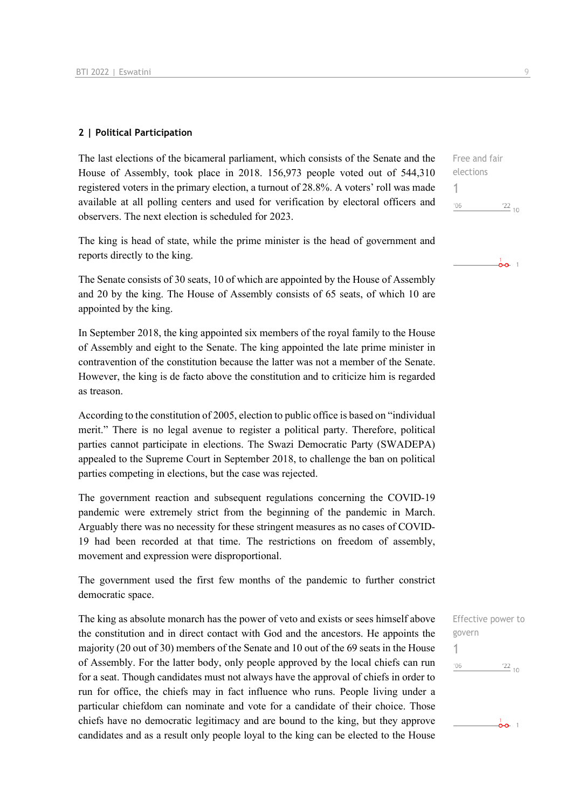### **2 | Political Participation**

The last elections of the bicameral parliament, which consists of the Senate and the House of Assembly, took place in 2018. 156,973 people voted out of 544,310 registered voters in the primary election, a turnout of 28.8%. A voters' roll was made available at all polling centers and used for verification by electoral officers and observers. The next election is scheduled for 2023.

The king is head of state, while the prime minister is the head of government and reports directly to the king.

The Senate consists of 30 seats, 10 of which are appointed by the House of Assembly and 20 by the king. The House of Assembly consists of 65 seats, of which 10 are appointed by the king.

In September 2018, the king appointed six members of the royal family to the House of Assembly and eight to the Senate. The king appointed the late prime minister in contravention of the constitution because the latter was not a member of the Senate. However, the king is de facto above the constitution and to criticize him is regarded as treason.

According to the constitution of 2005, election to public office is based on "individual merit." There is no legal avenue to register a political party. Therefore, political parties cannot participate in elections. The Swazi Democratic Party (SWADEPA) appealed to the Supreme Court in September 2018, to challenge the ban on political parties competing in elections, but the case was rejected.

The government reaction and subsequent regulations concerning the COVID-19 pandemic were extremely strict from the beginning of the pandemic in March. Arguably there was no necessity for these stringent measures as no cases of COVID-19 had been recorded at that time. The restrictions on freedom of assembly, movement and expression were disproportional.

The government used the first few months of the pandemic to further constrict democratic space.

The king as absolute monarch has the power of veto and exists or sees himself above the constitution and in direct contact with God and the ancestors. He appoints the majority (20 out of 30) members of the Senate and 10 out of the 69 seats in the House of Assembly. For the latter body, only people approved by the local chiefs can run for a seat. Though candidates must not always have the approval of chiefs in order to run for office, the chiefs may in fact influence who runs. People living under a particular chiefdom can nominate and vote for a candidate of their choice. Those chiefs have no democratic legitimacy and are bound to the king, but they approve candidates and as a result only people loyal to the king can be elected to the House

Free and fair elections 1  $^{\prime}06$  $\frac{22}{10}$ 





 $\frac{1}{2}$ o 1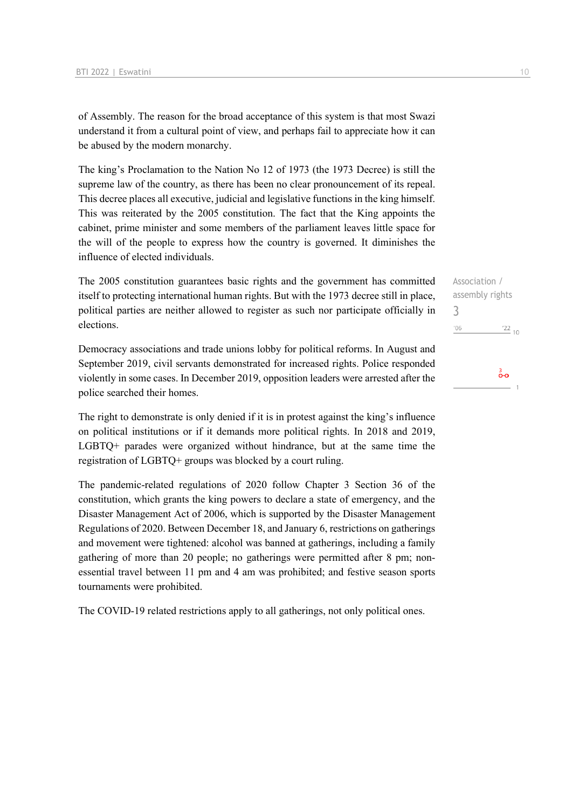of Assembly. The reason for the broad acceptance of this system is that most Swazi understand it from a cultural point of view, and perhaps fail to appreciate how it can be abused by the modern monarchy.

The king's Proclamation to the Nation No 12 of 1973 (the 1973 Decree) is still the supreme law of the country, as there has been no clear pronouncement of its repeal. This decree places all executive, judicial and legislative functions in the king himself. This was reiterated by the 2005 constitution. The fact that the King appoints the cabinet, prime minister and some members of the parliament leaves little space for the will of the people to express how the country is governed. It diminishes the influence of elected individuals.

The 2005 constitution guarantees basic rights and the government has committed itself to protecting international human rights. But with the 1973 decree still in place, political parties are neither allowed to register as such nor participate officially in elections.

Democracy associations and trade unions lobby for political reforms. In August and September 2019, civil servants demonstrated for increased rights. Police responded violently in some cases. In December 2019, opposition leaders were arrested after the police searched their homes.

The right to demonstrate is only denied if it is in protest against the king's influence on political institutions or if it demands more political rights. In 2018 and 2019, LGBTQ+ parades were organized without hindrance, but at the same time the registration of LGBTQ+ groups was blocked by a court ruling.

The pandemic-related regulations of 2020 follow Chapter 3 Section 36 of the constitution, which grants the king powers to declare a state of emergency, and the Disaster Management Act of 2006, which is supported by the Disaster Management Regulations of 2020. Between December 18, and January 6, restrictions on gatherings and movement were tightened: alcohol was banned at gatherings, including a family gathering of more than 20 people; no gatherings were permitted after 8 pm; nonessential travel between 11 pm and 4 am was prohibited; and festive season sports tournaments were prohibited.

The COVID-19 related restrictions apply to all gatherings, not only political ones.

Association / assembly rights 3 $\frac{22}{10}$  $'06$ စိတ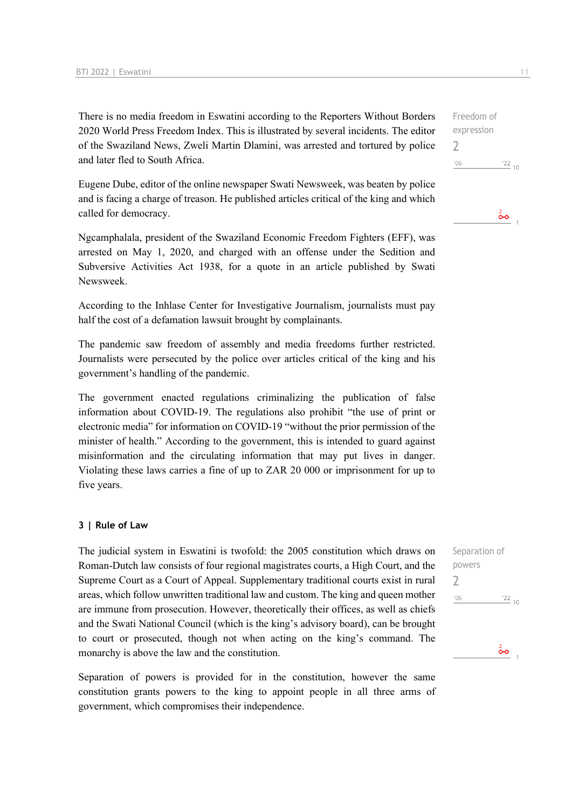There is no media freedom in Eswatini according to the Reporters Without Borders 2020 World Press Freedom Index. This is illustrated by several incidents. The editor of the Swaziland News, Zweli Martin Dlamini, was arrested and tortured by police and later fled to South Africa.

Eugene Dube, editor of the online newspaper Swati Newsweek, was beaten by police and is facing a charge of treason. He published articles critical of the king and which called for democracy.

Ngcamphalala, president of the Swaziland Economic Freedom Fighters (EFF), was arrested on May 1, 2020, and charged with an offense under the Sedition and Subversive Activities Act 1938, for a quote in an article published by Swati Newsweek.

According to the Inhlase Center for Investigative Journalism, journalists must pay half the cost of a defamation lawsuit brought by complainants.

The pandemic saw freedom of assembly and media freedoms further restricted. Journalists were persecuted by the police over articles critical of the king and his government's handling of the pandemic.

The government enacted regulations criminalizing the publication of false information about COVID-19. The regulations also prohibit "the use of print or electronic media" for information on COVID-19 "without the prior permission of the minister of health." According to the government, this is intended to guard against misinformation and the circulating information that may put lives in danger. Violating these laws carries a fine of up to ZAR 20 000 or imprisonment for up to five years.

### **3 | Rule of Law**

The judicial system in Eswatini is twofold: the 2005 constitution which draws on Roman-Dutch law consists of four regional magistrates courts, a High Court, and the Supreme Court as a Court of Appeal. Supplementary traditional courts exist in rural areas, which follow unwritten traditional law and custom. The king and queen mother are immune from prosecution. However, theoretically their offices, as well as chiefs and the Swati National Council (which is the king's advisory board), can be brought to court or prosecuted, though not when acting on the king's command. The monarchy is above the law and the constitution.

Separation of powers is provided for in the constitution, however the same constitution grants powers to the king to appoint people in all three arms of government, which compromises their independence.

Separation of powers 2 $\frac{22}{10}$  $^{\prime}06$ مۂ

Freedom of expression 2  $^{\prime}06$  $\frac{22}{10}$ 

စိစ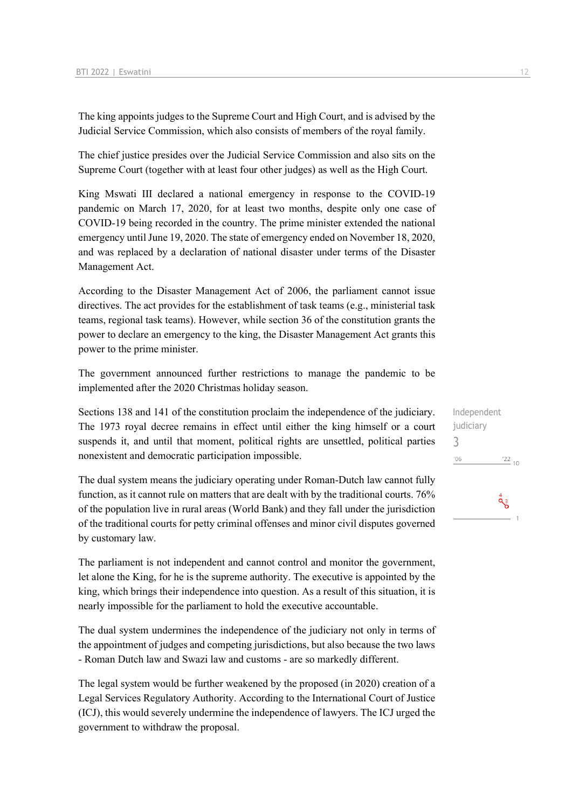The king appoints judges to the Supreme Court and High Court, and is advised by the Judicial Service Commission, which also consists of members of the royal family.

The chief justice presides over the Judicial Service Commission and also sits on the Supreme Court (together with at least four other judges) as well as the High Court.

King Mswati III declared a national emergency in response to the COVID-19 pandemic on March 17, 2020, for at least two months, despite only one case of COVID-19 being recorded in the country. The prime minister extended the national emergency until June 19, 2020. The state of emergency ended on November 18, 2020, and was replaced by a declaration of national disaster under terms of the Disaster Management Act.

According to the Disaster Management Act of 2006, the parliament cannot issue directives. The act provides for the establishment of task teams (e.g., ministerial task teams, regional task teams). However, while section 36 of the constitution grants the power to declare an emergency to the king, the Disaster Management Act grants this power to the prime minister.

The government announced further restrictions to manage the pandemic to be implemented after the 2020 Christmas holiday season.

Sections 138 and 141 of the constitution proclaim the independence of the judiciary. The 1973 royal decree remains in effect until either the king himself or a court suspends it, and until that moment, political rights are unsettled, political parties nonexistent and democratic participation impossible.

The dual system means the judiciary operating under Roman-Dutch law cannot fully function, as it cannot rule on matters that are dealt with by the traditional courts. 76% of the population live in rural areas (World Bank) and they fall under the jurisdiction of the traditional courts for petty criminal offenses and minor civil disputes governed by customary law.

The parliament is not independent and cannot control and monitor the government, let alone the King, for he is the supreme authority. The executive is appointed by the king, which brings their independence into question. As a result of this situation, it is nearly impossible for the parliament to hold the executive accountable.

The dual system undermines the independence of the judiciary not only in terms of the appointment of judges and competing jurisdictions, but also because the two laws - Roman Dutch law and Swazi law and customs - are so markedly different.

The legal system would be further weakened by the proposed (in 2020) creation of a Legal Services Regulatory Authority. According to the International Court of Justice (ICJ), this would severely undermine the independence of lawyers. The ICJ urged the government to withdraw the proposal.

Independent judiciary 3 $\frac{22}{10}$  $'06$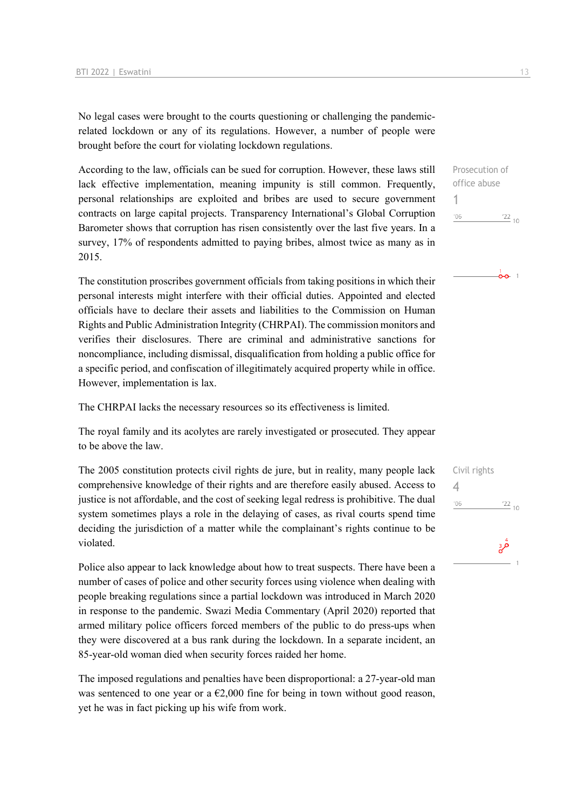No legal cases were brought to the courts questioning or challenging the pandemicrelated lockdown or any of its regulations. However, a number of people were brought before the court for violating lockdown regulations.

According to the law, officials can be sued for corruption. However, these laws still lack effective implementation, meaning impunity is still common. Frequently, personal relationships are exploited and bribes are used to secure government contracts on large capital projects. Transparency International's Global Corruption Barometer shows that corruption has risen consistently over the last five years. In a survey, 17% of respondents admitted to paying bribes, almost twice as many as in 2015.

The constitution proscribes government officials from taking positions in which their personal interests might interfere with their official duties. Appointed and elected officials have to declare their assets and liabilities to the Commission on Human Rights and Public Administration Integrity (CHRPAI). The commission monitors and verifies their disclosures. There are criminal and administrative sanctions for noncompliance, including dismissal, disqualification from holding a public office for a specific period, and confiscation of illegitimately acquired property while in office. However, implementation is lax.

The CHRPAI lacks the necessary resources so its effectiveness is limited.

The royal family and its acolytes are rarely investigated or prosecuted. They appear to be above the law.

The 2005 constitution protects civil rights de jure, but in reality, many people lack comprehensive knowledge of their rights and are therefore easily abused. Access to justice is not affordable, and the cost of seeking legal redress is prohibitive. The dual system sometimes plays a role in the delaying of cases, as rival courts spend time deciding the jurisdiction of a matter while the complainant's rights continue to be violated.

Police also appear to lack knowledge about how to treat suspects. There have been a number of cases of police and other security forces using violence when dealing with people breaking regulations since a partial lockdown was introduced in March 2020 in response to the pandemic. Swazi Media Commentary (April 2020) reported that armed military police officers forced members of the public to do press-ups when they were discovered at a bus rank during the lockdown. In a separate incident, an 85-year-old woman died when security forces raided her home.

The imposed regulations and penalties have been disproportional: a 27-year-old man was sentenced to one year or a  $\epsilon$ 2,000 fine for being in town without good reason, yet he was in fact picking up his wife from work.

 $\frac{1}{0}$  0  $\frac{1}{1}$ 

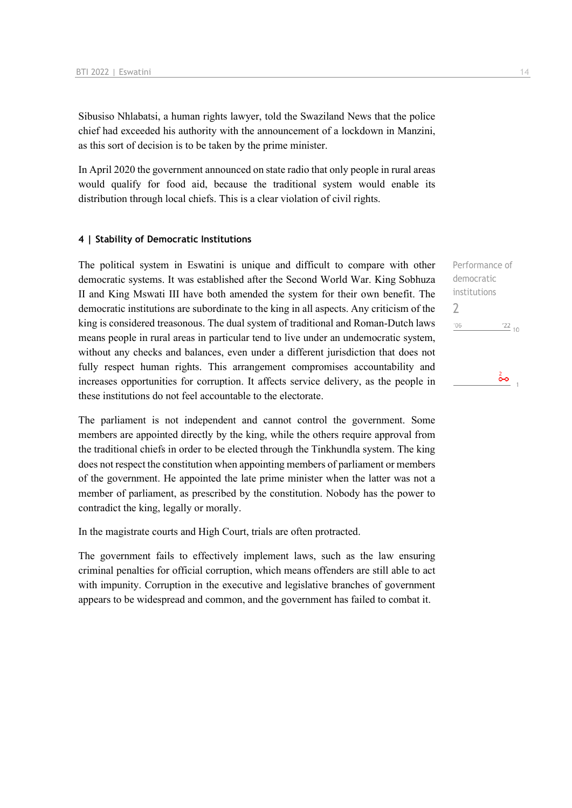Sibusiso Nhlabatsi, a human rights lawyer, told the Swaziland News that the police chief had exceeded his authority with the announcement of a lockdown in Manzini, as this sort of decision is to be taken by the prime minister.

In April 2020 the government announced on state radio that only people in rural areas would qualify for food aid, because the traditional system would enable its distribution through local chiefs. This is a clear violation of civil rights.

### **4 | Stability of Democratic Institutions**

The political system in Eswatini is unique and difficult to compare with other democratic systems. It was established after the Second World War. King Sobhuza II and King Mswati III have both amended the system for their own benefit. The democratic institutions are subordinate to the king in all aspects. Any criticism of the king is considered treasonous. The dual system of traditional and Roman-Dutch laws means people in rural areas in particular tend to live under an undemocratic system, without any checks and balances, even under a different jurisdiction that does not fully respect human rights. This arrangement compromises accountability and increases opportunities for corruption. It affects service delivery, as the people in these institutions do not feel accountable to the electorate.

The parliament is not independent and cannot control the government. Some members are appointed directly by the king, while the others require approval from the traditional chiefs in order to be elected through the Tinkhundla system. The king does not respect the constitution when appointing members of parliament or members of the government. He appointed the late prime minister when the latter was not a member of parliament, as prescribed by the constitution. Nobody has the power to contradict the king, legally or morally.

In the magistrate courts and High Court, trials are often protracted.

The government fails to effectively implement laws, such as the law ensuring criminal penalties for official corruption, which means offenders are still able to act with impunity. Corruption in the executive and legislative branches of government appears to be widespread and common, and the government has failed to combat it.

Performance of democratic institutions 2 $\frac{22}{10}$  $'06$  $\frac{2}{\mathbf{O}}$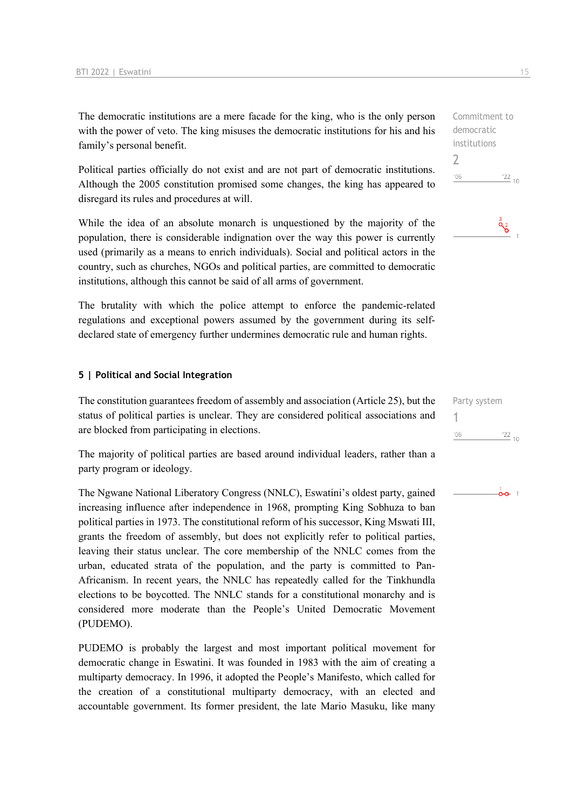The democratic institutions are a mere facade for the king, who is the only person with the power of veto. The king misuses the democratic institutions for his and his family's personal benefit.

Political parties officially do not exist and are not part of democratic institutions. Although the 2005 constitution promised some changes, the king has appeared to disregard its rules and procedures at will.

While the idea of an absolute monarch is unquestioned by the majority of the population, there is considerable indignation over the way this power is currently used (primarily as a means to enrich individuals). Social and political actors in the country, such as churches, NGOs and political parties, are committed to democratic institutions, although this cannot be said of all arms of government.

The brutality with which the police attempt to enforce the pandemic-related regulations and exceptional powers assumed by the government during its selfdeclared state of emergency further undermines democratic rule and human rights.

### **5 | Political and Social Integration**

The constitution guarantees freedom of assembly and association (Article 25), but the status of political parties is unclear. They are considered political associations and are blocked from participating in elections.

The majority of political parties are based around individual leaders, rather than a party program or ideology.

The Ngwane National Liberatory Congress (NNLC), Eswatini's oldest party, gained increasing influence after independence in 1968, prompting King Sobhuza to ban political parties in 1973. The constitutional reform of his successor, King Mswati III, grants the freedom of assembly, but does not explicitly refer to political parties, leaving their status unclear. The core membership of the NNLC comes from the urban, educated strata of the population, and the party is committed to Pan-Africanism. In recent years, the NNLC has repeatedly called for the Tinkhundla elections to be boycotted. The NNLC stands for a constitutional monarchy and is considered more moderate than the People's United Democratic Movement (PUDEMO).

PUDEMO is probably the largest and most important political movement for democratic change in Eswatini. It was founded in 1983 with the aim of creating a multiparty democracy. In 1996, it adopted the People's Manifesto, which called for the creation of a constitutional multiparty democracy, with an elected and accountable government. Its former president, the late Mario Masuku, like many





| Party system |            |  |
|--------------|------------|--|
|              |            |  |
| '06          | $122_{10}$ |  |
|              |            |  |

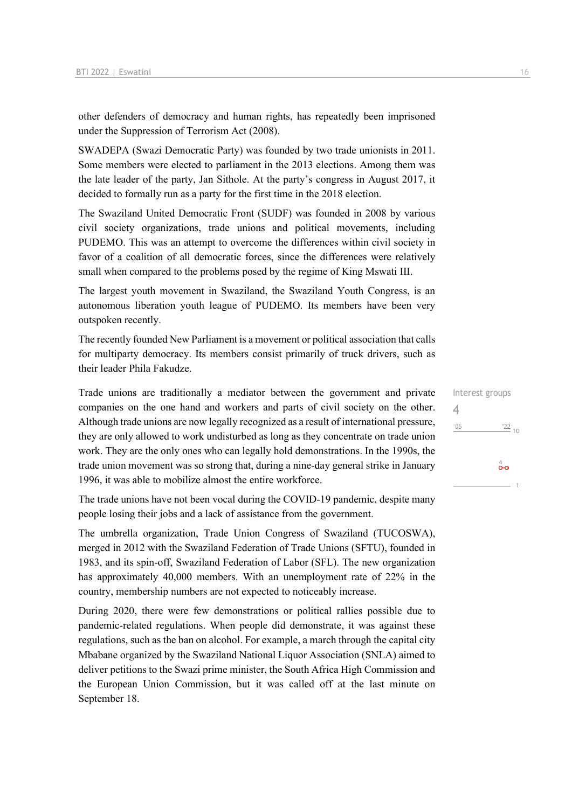other defenders of democracy and human rights, has repeatedly been imprisoned under the Suppression of Terrorism Act (2008).

SWADEPA (Swazi Democratic Party) was founded by two trade unionists in 2011. Some members were elected to parliament in the 2013 elections. Among them was the late leader of the party, Jan Sithole. At the party's congress in August 2017, it decided to formally run as a party for the first time in the 2018 election.

The Swaziland United Democratic Front (SUDF) was founded in 2008 by various civil society organizations, trade unions and political movements, including PUDEMO. This was an attempt to overcome the differences within civil society in favor of a coalition of all democratic forces, since the differences were relatively small when compared to the problems posed by the regime of King Mswati III.

The largest youth movement in Swaziland, the Swaziland Youth Congress, is an autonomous liberation youth league of PUDEMO. Its members have been very outspoken recently.

The recently founded New Parliament is a movement or political association that calls for multiparty democracy. Its members consist primarily of truck drivers, such as their leader Phila Fakudze.

Trade unions are traditionally a mediator between the government and private companies on the one hand and workers and parts of civil society on the other. Although trade unions are now legally recognized as a result of international pressure, they are only allowed to work undisturbed as long as they concentrate on trade union work. They are the only ones who can legally hold demonstrations. In the 1990s, the trade union movement was so strong that, during a nine-day general strike in January 1996, it was able to mobilize almost the entire workforce.

The trade unions have not been vocal during the COVID-19 pandemic, despite many people losing their jobs and a lack of assistance from the government.

The umbrella organization, Trade Union Congress of Swaziland (TUCOSWA), merged in 2012 with the Swaziland Federation of Trade Unions (SFTU), founded in 1983, and its spin-off, Swaziland Federation of Labor (SFL). The new organization has approximately 40,000 members. With an unemployment rate of 22% in the country, membership numbers are not expected to noticeably increase.

During 2020, there were few demonstrations or political rallies possible due to pandemic-related regulations. When people did demonstrate, it was against these regulations, such as the ban on alcohol. For example, a march through the capital city Mbabane organized by the Swaziland National Liquor Association (SNLA) aimed to deliver petitions to the Swazi prime minister, the South Africa High Commission and the European Union Commission, but it was called off at the last minute on September 18.

Interest groups 4 $'06$  $\frac{22}{10}$  $\overset{4}{\bullet}$ o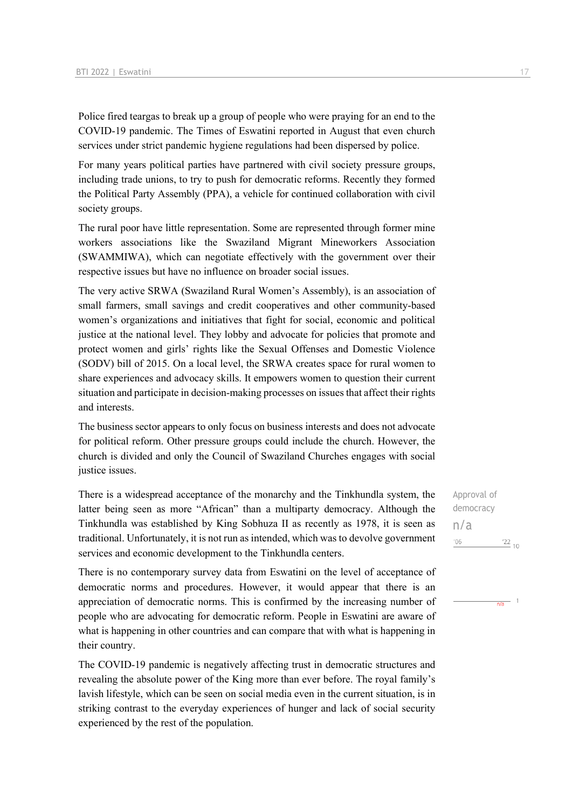Police fired teargas to break up a group of people who were praying for an end to the COVID-19 pandemic. The Times of Eswatini reported in August that even church services under strict pandemic hygiene regulations had been dispersed by police.

For many years political parties have partnered with civil society pressure groups, including trade unions, to try to push for democratic reforms. Recently they formed the Political Party Assembly (PPA), a vehicle for continued collaboration with civil society groups.

The rural poor have little representation. Some are represented through former mine workers associations like the Swaziland Migrant Mineworkers Association (SWAMMIWA), which can negotiate effectively with the government over their respective issues but have no influence on broader social issues.

The very active SRWA (Swaziland Rural Women's Assembly), is an association of small farmers, small savings and credit cooperatives and other community-based women's organizations and initiatives that fight for social, economic and political justice at the national level. They lobby and advocate for policies that promote and protect women and girls' rights like the Sexual Offenses and Domestic Violence (SODV) bill of 2015. On a local level, the SRWA creates space for rural women to share experiences and advocacy skills. It empowers women to question their current situation and participate in decision-making processes on issues that affect their rights and interests.

The business sector appears to only focus on business interests and does not advocate for political reform. Other pressure groups could include the church. However, the church is divided and only the Council of Swaziland Churches engages with social justice issues.

There is a widespread acceptance of the monarchy and the Tinkhundla system, the latter being seen as more "African" than a multiparty democracy. Although the Tinkhundla was established by King Sobhuza II as recently as 1978, it is seen as traditional. Unfortunately, it is not run as intended, which was to devolve government services and economic development to the Tinkhundla centers.

There is no contemporary survey data from Eswatini on the level of acceptance of democratic norms and procedures. However, it would appear that there is an appreciation of democratic norms. This is confirmed by the increasing number of people who are advocating for democratic reform. People in Eswatini are aware of what is happening in other countries and can compare that with what is happening in their country.

The COVID-19 pandemic is negatively affecting trust in democratic structures and revealing the absolute power of the King more than ever before. The royal family's lavish lifestyle, which can be seen on social media even in the current situation, is in striking contrast to the everyday experiences of hunger and lack of social security experienced by the rest of the population.

Approval of democracy n/a $'06$  $122_{10}$ 



 $\frac{1}{n\sqrt{a}}$  1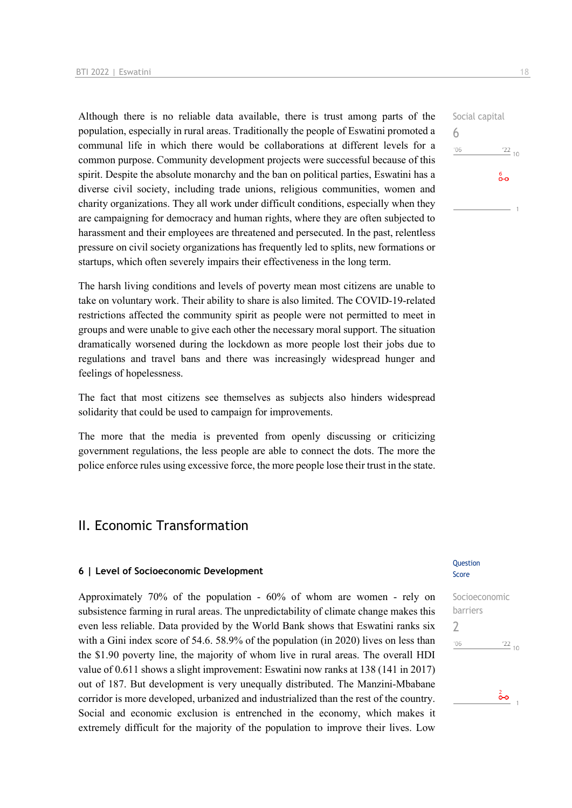Although there is no reliable data available, there is trust among parts of the population, especially in rural areas. Traditionally the people of Eswatini promoted a communal life in which there would be collaborations at different levels for a common purpose. Community development projects were successful because of this spirit. Despite the absolute monarchy and the ban on political parties, Eswatini has a diverse civil society, including trade unions, religious communities, women and charity organizations. They all work under difficult conditions, especially when they are campaigning for democracy and human rights, where they are often subjected to harassment and their employees are threatened and persecuted. In the past, relentless pressure on civil society organizations has frequently led to splits, new formations or startups, which often severely impairs their effectiveness in the long term.

The harsh living conditions and levels of poverty mean most citizens are unable to take on voluntary work. Their ability to share is also limited. The COVID-19-related restrictions affected the community spirit as people were not permitted to meet in groups and were unable to give each other the necessary moral support. The situation dramatically worsened during the lockdown as more people lost their jobs due to regulations and travel bans and there was increasingly widespread hunger and feelings of hopelessness.

The fact that most citizens see themselves as subjects also hinders widespread solidarity that could be used to campaign for improvements.

The more that the media is prevented from openly discussing or criticizing government regulations, the less people are able to connect the dots. The more the police enforce rules using excessive force, the more people lose their trust in the state.

# II. Economic Transformation

### **6 | Level of Socioeconomic Development**

Approximately 70% of the population - 60% of whom are women - rely on subsistence farming in rural areas. The unpredictability of climate change makes this even less reliable. Data provided by the World Bank shows that Eswatini ranks six with a Gini index score of 54.6. 58.9% of the population (in 2020) lives on less than the \$1.90 poverty line, the majority of whom live in rural areas. The overall HDI value of 0.611 shows a slight improvement: Eswatini now ranks at 138 (141 in 2017) out of 187. But development is very unequally distributed. The Manzini-Mbabane corridor is more developed, urbanized and industrialized than the rest of the country. Social and economic exclusion is entrenched in the economy, which makes it extremely difficult for the majority of the population to improve their lives. Low

### Question Score

Socioeconomic barriers 2 $\frac{22}{10}$  $'06$ 

ô٥

# Social capital 6  $\frac{22}{10}$  $106$  $\overset{6}{\bullet}\circ$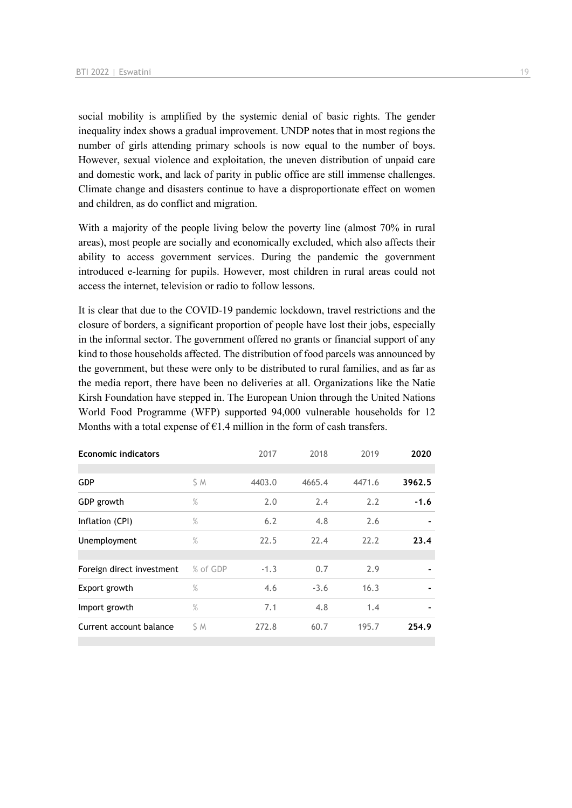social mobility is amplified by the systemic denial of basic rights. The gender inequality index shows a gradual improvement. UNDP notes that in most regions the number of girls attending primary schools is now equal to the number of boys. However, sexual violence and exploitation, the uneven distribution of unpaid care and domestic work, and lack of parity in public office are still immense challenges. Climate change and disasters continue to have a disproportionate effect on women and children, as do conflict and migration.

With a majority of the people living below the poverty line (almost 70% in rural areas), most people are socially and economically excluded, which also affects their ability to access government services. During the pandemic the government introduced e-learning for pupils. However, most children in rural areas could not access the internet, television or radio to follow lessons.

It is clear that due to the COVID-19 pandemic lockdown, travel restrictions and the closure of borders, a significant proportion of people have lost their jobs, especially in the informal sector. The government offered no grants or financial support of any kind to those households affected. The distribution of food parcels was announced by the government, but these were only to be distributed to rural families, and as far as the media report, there have been no deliveries at all. Organizations like the Natie Kirsh Foundation have stepped in. The European Union through the United Nations World Food Programme (WFP) supported 94,000 vulnerable households for 12 Months with a total expense of  $E1.4$  million in the form of cash transfers.

| <b>Economic indicators</b> |          | 2017   | 2018   | 2019   | 2020   |
|----------------------------|----------|--------|--------|--------|--------|
| <b>GDP</b>                 |          | 4403.0 | 4665.4 | 4471.6 | 3962.5 |
|                            | \$ M     |        |        |        |        |
| GDP growth                 | $\%$     | 2.0    | 2.4    | 2.2    | $-1.6$ |
| Inflation (CPI)            | $\%$     | 6.2    | 4.8    | 2.6    |        |
| Unemployment               | $\%$     | 22.5   | 22.4   | 22.2   | 23.4   |
|                            |          |        |        |        |        |
| Foreign direct investment  | % of GDP | $-1.3$ | 0.7    | 2.9    |        |
| Export growth              | $\%$     | 4.6    | $-3.6$ | 16.3   |        |
| Import growth              | $\%$     | 7.1    | 4.8    | 1.4    |        |
| Current account balance    | ŚΜ       | 272.8  | 60.7   | 195.7  | 254.9  |
|                            |          |        |        |        |        |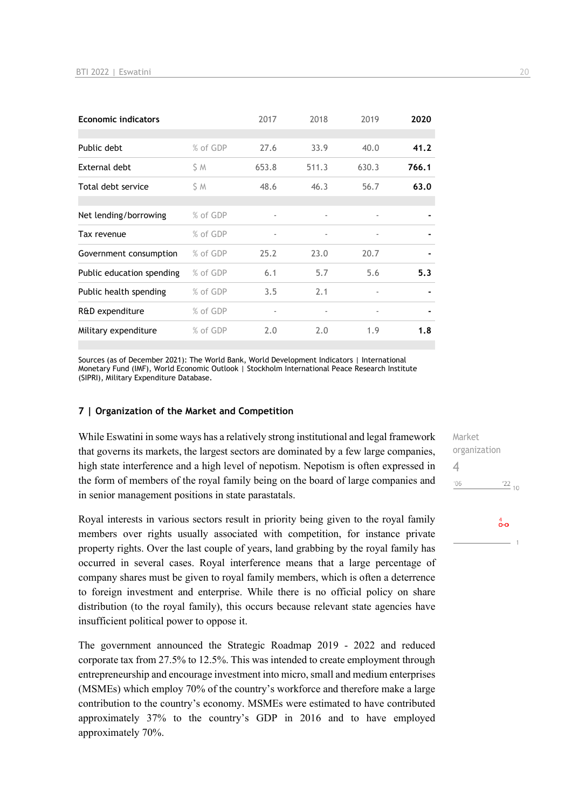| <b>Economic indicators</b> |          | 2017                     | 2018                     | 2019                     | 2020  |
|----------------------------|----------|--------------------------|--------------------------|--------------------------|-------|
|                            |          |                          |                          |                          |       |
| Public debt                | % of GDP | 27.6                     | 33.9                     | 40.0                     | 41.2  |
| External debt              | S M      | 653.8                    | 511.3                    | 630.3                    | 766.1 |
| Total debt service         | S M      | 48.6                     | 46.3                     | 56.7                     | 63.0  |
|                            |          |                          |                          |                          |       |
| Net lending/borrowing      | % of GDP | $\overline{a}$           | $\overline{\phantom{a}}$ | $\overline{\phantom{a}}$ |       |
| Tax revenue                | % of GDP |                          |                          | ۰                        |       |
| Government consumption     | % of GDP | 25.2                     | 23.0                     | 20.7                     |       |
| Public education spending  | % of GDP | 6.1                      | 5.7                      | 5.6                      | 5.3   |
| Public health spending     | % of GDP | 3.5                      | 2.1                      | ۰                        |       |
| R&D expenditure            | % of GDP | $\overline{\phantom{m}}$ | $\overline{\phantom{a}}$ | $\overline{\phantom{a}}$ |       |
| Military expenditure       | % of GDP | 2.0                      | 2.0                      | 1.9                      | 1.8   |

Sources (as of December 2021): The World Bank, World Development Indicators | International Monetary Fund (IMF), World Economic Outlook | Stockholm International Peace Research Institute (SIPRI), Military Expenditure Database.

#### **7 | Organization of the Market and Competition**

While Eswatini in some ways has a relatively strong institutional and legal framework that governs its markets, the largest sectors are dominated by a few large companies, high state interference and a high level of nepotism. Nepotism is often expressed in the form of members of the royal family being on the board of large companies and in senior management positions in state parastatals.

Royal interests in various sectors result in priority being given to the royal family members over rights usually associated with competition, for instance private property rights. Over the last couple of years, land grabbing by the royal family has occurred in several cases. Royal interference means that a large percentage of company shares must be given to royal family members, which is often a deterrence to foreign investment and enterprise. While there is no official policy on share distribution (to the royal family), this occurs because relevant state agencies have insufficient political power to oppose it.

The government announced the Strategic Roadmap 2019 - 2022 and reduced corporate tax from 27.5% to 12.5%. This was intended to create employment through entrepreneurship and encourage investment into micro, small and medium enterprises (MSMEs) which employ 70% of the country's workforce and therefore make a large contribution to the country's economy. MSMEs were estimated to have contributed approximately 37% to the country's GDP in 2016 and to have employed approximately 70%.

Market organization 4 $'06$  $\frac{22}{10}$  $\overset{4}{\bullet}$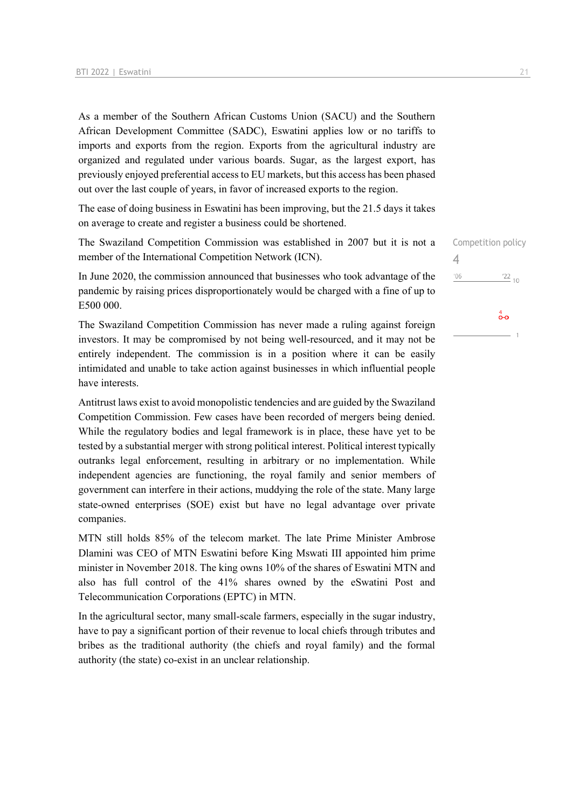As a member of the Southern African Customs Union (SACU) and the Southern African Development Committee (SADC), Eswatini applies low or no tariffs to imports and exports from the region. Exports from the agricultural industry are organized and regulated under various boards. Sugar, as the largest export, has previously enjoyed preferential access to EU markets, but this access has been phased out over the last couple of years, in favor of increased exports to the region.

The ease of doing business in Eswatini has been improving, but the 21.5 days it takes on average to create and register a business could be shortened.

The Swaziland Competition Commission was established in 2007 but it is not a member of the International Competition Network (ICN).

In June 2020, the commission announced that businesses who took advantage of the pandemic by raising prices disproportionately would be charged with a fine of up to E500 000.

The Swaziland Competition Commission has never made a ruling against foreign investors. It may be compromised by not being well-resourced, and it may not be entirely independent. The commission is in a position where it can be easily intimidated and unable to take action against businesses in which influential people have interests.

Antitrust laws exist to avoid monopolistic tendencies and are guided by the Swaziland Competition Commission. Few cases have been recorded of mergers being denied. While the regulatory bodies and legal framework is in place, these have yet to be tested by a substantial merger with strong political interest. Political interest typically outranks legal enforcement, resulting in arbitrary or no implementation. While independent agencies are functioning, the royal family and senior members of government can interfere in their actions, muddying the role of the state. Many large state-owned enterprises (SOE) exist but have no legal advantage over private companies.

MTN still holds 85% of the telecom market. The late Prime Minister Ambrose Dlamini was CEO of MTN Eswatini before King Mswati III appointed him prime minister in November 2018. The king owns 10% of the shares of Eswatini MTN and also has full control of the 41% shares owned by the eSwatini Post and Telecommunication Corporations (EPTC) in MTN.

In the agricultural sector, many small-scale farmers, especially in the sugar industry, have to pay a significant portion of their revenue to local chiefs through tributes and bribes as the traditional authority (the chiefs and royal family) and the formal authority (the state) co-exist in an unclear relationship.

Competition policy 4 $^{\prime}06$  $\frac{22}{10}$ 

 $\sigma$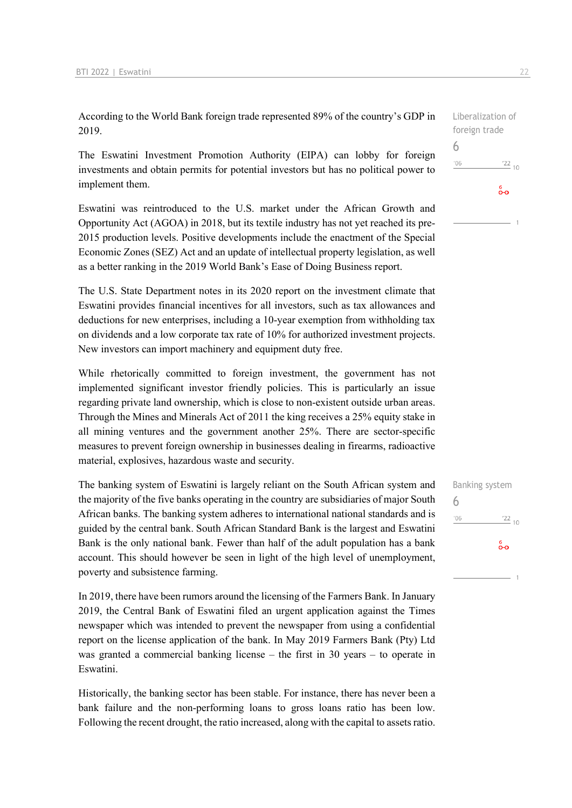According to the World Bank foreign trade represented 89% of the country's GDP in 2019.

The Eswatini Investment Promotion Authority (EIPA) can lobby for foreign investments and obtain permits for potential investors but has no political power to implement them.

Eswatini was reintroduced to the U.S. market under the African Growth and Opportunity Act (AGOA) in 2018, but its textile industry has not yet reached its pre-2015 production levels. Positive developments include the enactment of the Special Economic Zones (SEZ) Act and an update of intellectual property legislation, as well as a better ranking in the 2019 World Bank's Ease of Doing Business report.

The U.S. State Department notes in its 2020 report on the investment climate that Eswatini provides financial incentives for all investors, such as tax allowances and deductions for new enterprises, including a 10-year exemption from withholding tax on dividends and a low corporate tax rate of 10% for authorized investment projects. New investors can import machinery and equipment duty free.

While rhetorically committed to foreign investment, the government has not implemented significant investor friendly policies. This is particularly an issue regarding private land ownership, which is close to non-existent outside urban areas. Through the Mines and Minerals Act of 2011 the king receives a 25% equity stake in all mining ventures and the government another 25%. There are sector-specific measures to prevent foreign ownership in businesses dealing in firearms, radioactive material, explosives, hazardous waste and security.

The banking system of Eswatini is largely reliant on the South African system and the majority of the five banks operating in the country are subsidiaries of major South African banks. The banking system adheres to international national standards and is guided by the central bank. South African Standard Bank is the largest and Eswatini Bank is the only national bank. Fewer than half of the adult population has a bank account. This should however be seen in light of the high level of unemployment, poverty and subsistence farming.

In 2019, there have been rumors around the licensing of the Farmers Bank. In January 2019, the Central Bank of Eswatini filed an urgent application against the Times newspaper which was intended to prevent the newspaper from using a confidential report on the license application of the bank. In May 2019 Farmers Bank (Pty) Ltd was granted a commercial banking license – the first in 30 years – to operate in Eswatini.

Historically, the banking sector has been stable. For instance, there has never been a bank failure and the non-performing loans to gross loans ratio has been low. Following the recent drought, the ratio increased, along with the capital to assets ratio.

Liberalization of foreign trade 6  $^{\prime}06$  $122_{10}$ စိစ

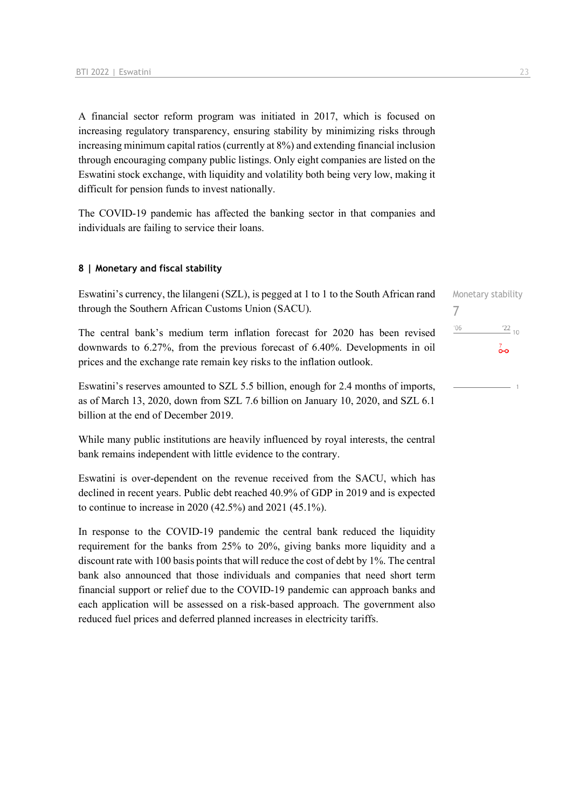A financial sector reform program was initiated in 2017, which is focused on increasing regulatory transparency, ensuring stability by minimizing risks through increasing minimum capital ratios (currently at 8%) and extending financial inclusion through encouraging company public listings. Only eight companies are listed on the Eswatini stock exchange, with liquidity and volatility both being very low, making it difficult for pension funds to invest nationally.

The COVID-19 pandemic has affected the banking sector in that companies and individuals are failing to service their loans.

### **8 | Monetary and fiscal stability**

Eswatini's currency, the lilangeni (SZL), is pegged at 1 to 1 to the South African rand through the Southern African Customs Union (SACU).

The central bank's medium term inflation forecast for 2020 has been revised downwards to 6.27%, from the previous forecast of 6.40%. Developments in oil prices and the exchange rate remain key risks to the inflation outlook.

Eswatini's reserves amounted to SZL 5.5 billion, enough for 2.4 months of imports, as of March 13, 2020, down from SZL 7.6 billion on January 10, 2020, and SZL 6.1 billion at the end of December 2019.

While many public institutions are heavily influenced by royal interests, the central bank remains independent with little evidence to the contrary.

Eswatini is over-dependent on the revenue received from the SACU, which has declined in recent years. Public debt reached 40.9% of GDP in 2019 and is expected to continue to increase in 2020 (42.5%) and 2021 (45.1%).

In response to the COVID-19 pandemic the central bank reduced the liquidity requirement for the banks from 25% to 20%, giving banks more liquidity and a discount rate with 100 basis points that will reduce the cost of debt by 1%. The central bank also announced that those individuals and companies that need short term financial support or relief due to the COVID-19 pandemic can approach banks and each application will be assessed on a risk-based approach. The government also reduced fuel prices and deferred planned increases in electricity tariffs.

| Monetary stability |             |
|--------------------|-------------|
| $\prime$           |             |
| '06                | $^{'}22$ 10 |
|                    |             |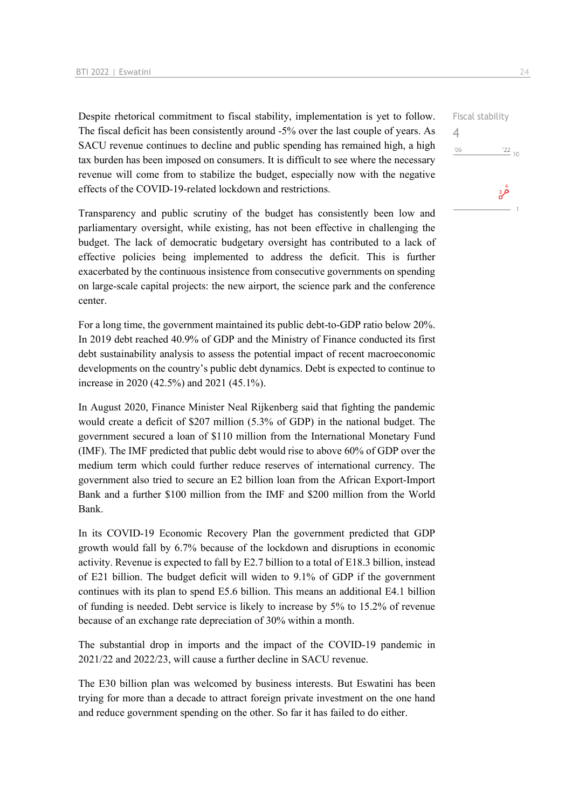Despite rhetorical commitment to fiscal stability, implementation is yet to follow. The fiscal deficit has been consistently around -5% over the last couple of years. As SACU revenue continues to decline and public spending has remained high, a high tax burden has been imposed on consumers. It is difficult to see where the necessary revenue will come from to stabilize the budget, especially now with the negative effects of the COVID-19-related lockdown and restrictions.

Transparency and public scrutiny of the budget has consistently been low and parliamentary oversight, while existing, has not been effective in challenging the budget. The lack of democratic budgetary oversight has contributed to a lack of effective policies being implemented to address the deficit. This is further exacerbated by the continuous insistence from consecutive governments on spending on large-scale capital projects: the new airport, the science park and the conference center.

For a long time, the government maintained its public debt-to-GDP ratio below 20%. In 2019 debt reached 40.9% of GDP and the Ministry of Finance conducted its first debt sustainability analysis to assess the potential impact of recent macroeconomic developments on the country's public debt dynamics. Debt is expected to continue to increase in 2020 (42.5%) and 2021 (45.1%).

In August 2020, Finance Minister Neal Rijkenberg said that fighting the pandemic would create a deficit of \$207 million (5.3% of GDP) in the national budget. The government secured a loan of \$110 million from the International Monetary Fund (IMF). The IMF predicted that public debt would rise to above 60% of GDP over the medium term which could further reduce reserves of international currency. The government also tried to secure an E2 billion loan from the African Export-Import Bank and a further \$100 million from the IMF and \$200 million from the World Bank.

In its COVID-19 Economic Recovery Plan the government predicted that GDP growth would fall by 6.7% because of the lockdown and disruptions in economic activity. Revenue is expected to fall by E2.7 billion to a total of E18.3 billion, instead of E21 billion. The budget deficit will widen to 9.1% of GDP if the government continues with its plan to spend E5.6 billion. This means an additional E4.1 billion of funding is needed. Debt service is likely to increase by 5% to 15.2% of revenue because of an exchange rate depreciation of 30% within a month.

The substantial drop in imports and the impact of the COVID-19 pandemic in 2021/22 and 2022/23, will cause a further decline in SACU revenue.

The E30 billion plan was welcomed by business interests. But Eswatini has been trying for more than a decade to attract foreign private investment on the one hand and reduce government spending on the other. So far it has failed to do either.

4 $106$ 

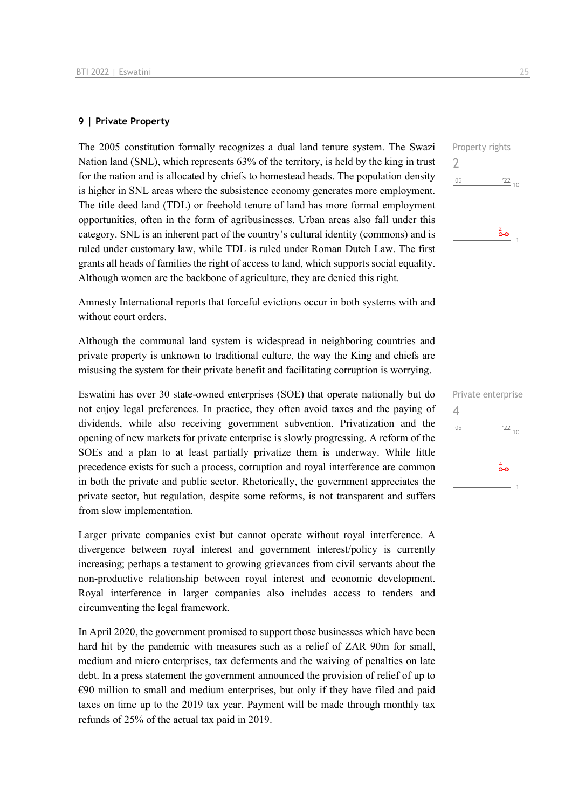### **9 | Private Property**

The 2005 constitution formally recognizes a dual land tenure system. The Swazi Nation land (SNL), which represents 63% of the territory, is held by the king in trust for the nation and is allocated by chiefs to homestead heads. The population density is higher in SNL areas where the subsistence economy generates more employment. The title deed land (TDL) or freehold tenure of land has more formal employment opportunities, often in the form of agribusinesses. Urban areas also fall under this category. SNL is an inherent part of the country's cultural identity (commons) and is ruled under customary law, while TDL is ruled under Roman Dutch Law. The first grants all heads of families the right of access to land, which supports social equality. Although women are the backbone of agriculture, they are denied this right.

Amnesty International reports that forceful evictions occur in both systems with and without court orders.

Although the communal land system is widespread in neighboring countries and private property is unknown to traditional culture, the way the King and chiefs are misusing the system for their private benefit and facilitating corruption is worrying.

Eswatini has over 30 state-owned enterprises (SOE) that operate nationally but do not enjoy legal preferences. In practice, they often avoid taxes and the paying of dividends, while also receiving government subvention. Privatization and the opening of new markets for private enterprise is slowly progressing. A reform of the SOEs and a plan to at least partially privatize them is underway. While little precedence exists for such a process, corruption and royal interference are common in both the private and public sector. Rhetorically, the government appreciates the private sector, but regulation, despite some reforms, is not transparent and suffers from slow implementation.

Larger private companies exist but cannot operate without royal interference. A divergence between royal interest and government interest/policy is currently increasing; perhaps a testament to growing grievances from civil servants about the non-productive relationship between royal interest and economic development. Royal interference in larger companies also includes access to tenders and circumventing the legal framework.

In April 2020, the government promised to support those businesses which have been hard hit by the pandemic with measures such as a relief of ZAR 90m for small, medium and micro enterprises, tax deferments and the waiving of penalties on late debt. In a press statement the government announced the provision of relief of up to  $€90$  million to small and medium enterprises, but only if they have filed and paid taxes on time up to the 2019 tax year. Payment will be made through monthly tax refunds of 25% of the actual tax paid in 2019.

Property rights 2  $'06$  $\frac{22}{10}$ စ်စ

| 4   | Private enterprise       |
|-----|--------------------------|
| '06 | $\frac{22}{10}$          |
|     | $\overset{4}{\bullet}$ o |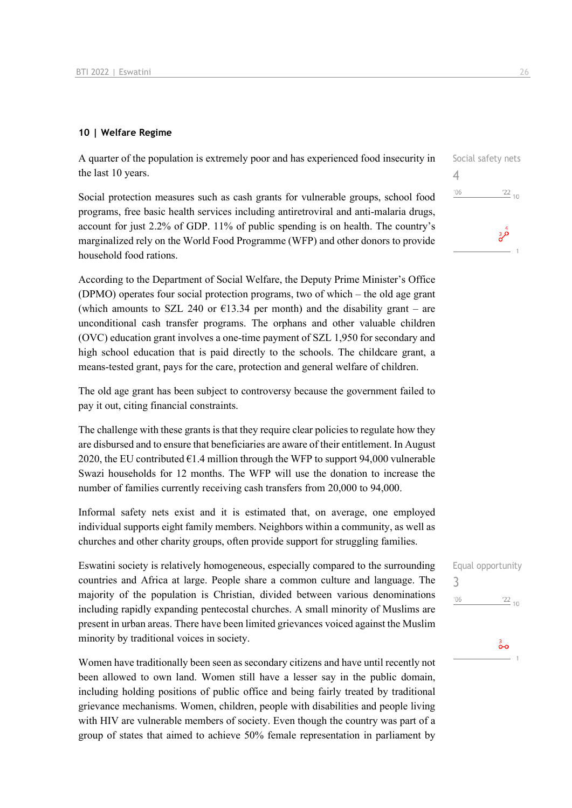### **10 | Welfare Regime**

A quarter of the population is extremely poor and has experienced food insecurity in the last 10 years.

Social protection measures such as cash grants for vulnerable groups, school food programs, free basic health services including antiretroviral and anti-malaria drugs, account for just 2.2% of GDP. 11% of public spending is on health. The country's marginalized rely on the World Food Programme (WFP) and other donors to provide household food rations.

According to the Department of Social Welfare, the Deputy Prime Minister's Office (DPMO) operates four social protection programs, two of which – the old age grant (which amounts to SZL 240 or  $\epsilon$ 13.34 per month) and the disability grant – are unconditional cash transfer programs. The orphans and other valuable children (OVC) education grant involves a one-time payment of SZL 1,950 for secondary and high school education that is paid directly to the schools. The childcare grant, a means-tested grant, pays for the care, protection and general welfare of children.

The old age grant has been subject to controversy because the government failed to pay it out, citing financial constraints.

The challenge with these grants is that they require clear policies to regulate how they are disbursed and to ensure that beneficiaries are aware of their entitlement. In August 2020, the EU contributed  $E1.4$  million through the WFP to support 94,000 vulnerable Swazi households for 12 months. The WFP will use the donation to increase the number of families currently receiving cash transfers from 20,000 to 94,000.

Informal safety nets exist and it is estimated that, on average, one employed individual supports eight family members. Neighbors within a community, as well as churches and other charity groups, often provide support for struggling families.

Eswatini society is relatively homogeneous, especially compared to the surrounding countries and Africa at large. People share a common culture and language. The majority of the population is Christian, divided between various denominations including rapidly expanding pentecostal churches. A small minority of Muslims are present in urban areas. There have been limited grievances voiced against the Muslim minority by traditional voices in society.

Women have traditionally been seen as secondary citizens and have until recently not been allowed to own land. Women still have a lesser say in the public domain, including holding positions of public office and being fairly treated by traditional grievance mechanisms. Women, children, people with disabilities and people living with HIV are vulnerable members of society. Even though the country was part of a group of states that aimed to achieve 50% female representation in parliament by



| 3   | Equal opportunity |
|-----|-------------------|
| '06 | $\frac{22}{10}$   |
|     | ္တီ               |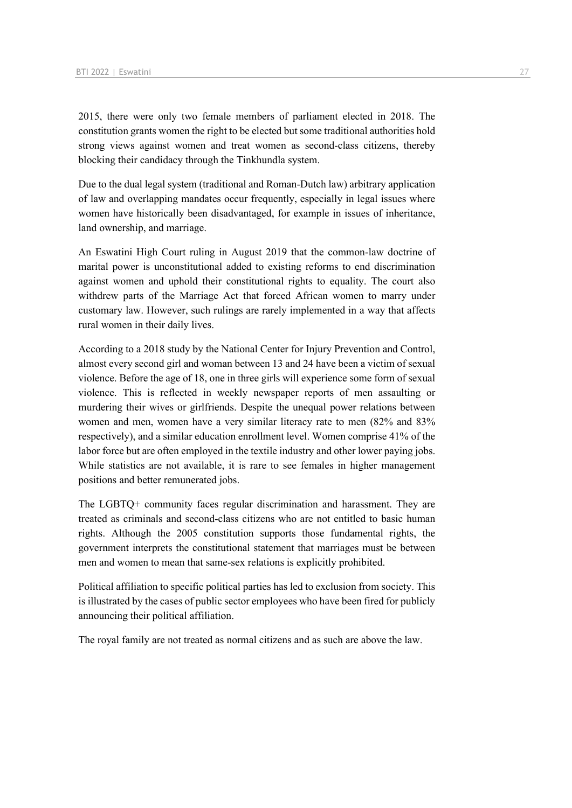2015, there were only two female members of parliament elected in 2018. The constitution grants women the right to be elected but some traditional authorities hold strong views against women and treat women as second-class citizens, thereby blocking their candidacy through the Tinkhundla system.

Due to the dual legal system (traditional and Roman-Dutch law) arbitrary application of law and overlapping mandates occur frequently, especially in legal issues where women have historically been disadvantaged, for example in issues of inheritance, land ownership, and marriage.

An Eswatini High Court ruling in August 2019 that the common-law doctrine of marital power is unconstitutional added to existing reforms to end discrimination against women and uphold their constitutional rights to equality. The court also withdrew parts of the Marriage Act that forced African women to marry under customary law. However, such rulings are rarely implemented in a way that affects rural women in their daily lives.

According to a 2018 study by the National Center for Injury Prevention and Control, almost every second girl and woman between 13 and 24 have been a victim of sexual violence. Before the age of 18, one in three girls will experience some form of sexual violence. This is reflected in weekly newspaper reports of men assaulting or murdering their wives or girlfriends. Despite the unequal power relations between women and men, women have a very similar literacy rate to men (82% and 83% respectively), and a similar education enrollment level. Women comprise 41% of the labor force but are often employed in the textile industry and other lower paying jobs. While statistics are not available, it is rare to see females in higher management positions and better remunerated jobs.

The LGBTQ+ community faces regular discrimination and harassment. They are treated as criminals and second-class citizens who are not entitled to basic human rights. Although the 2005 constitution supports those fundamental rights, the government interprets the constitutional statement that marriages must be between men and women to mean that same-sex relations is explicitly prohibited.

Political affiliation to specific political parties has led to exclusion from society. This is illustrated by the cases of public sector employees who have been fired for publicly announcing their political affiliation.

The royal family are not treated as normal citizens and as such are above the law.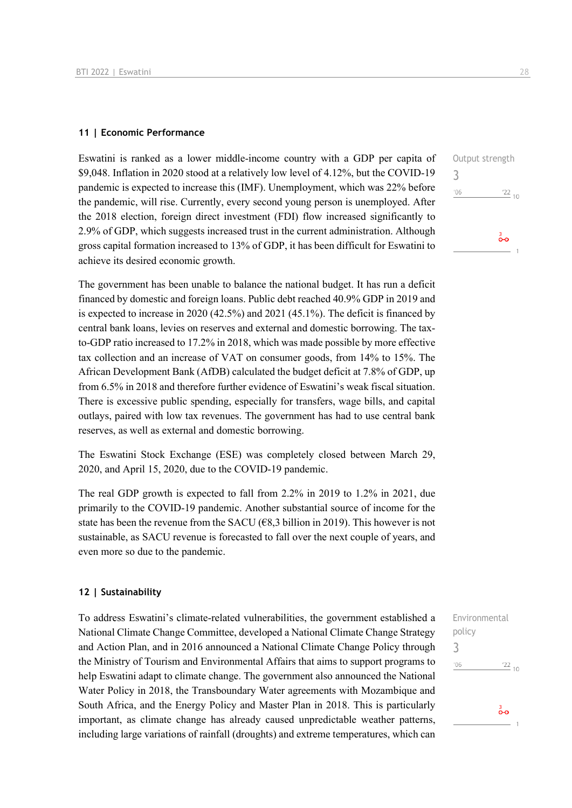### **11 | Economic Performance**

Eswatini is ranked as a lower middle-income country with a GDP per capita of \$9,048. Inflation in 2020 stood at a relatively low level of 4.12%, but the COVID-19 pandemic is expected to increase this (IMF). Unemployment, which was 22% before the pandemic, will rise. Currently, every second young person is unemployed. After the 2018 election, foreign direct investment (FDI) flow increased significantly to 2.9% of GDP, which suggests increased trust in the current administration. Although gross capital formation increased to 13% of GDP, it has been difficult for Eswatini to achieve its desired economic growth.

The government has been unable to balance the national budget. It has run a deficit financed by domestic and foreign loans. Public debt reached 40.9% GDP in 2019 and is expected to increase in 2020 (42.5%) and 2021 (45.1%). The deficit is financed by central bank loans, levies on reserves and external and domestic borrowing. The taxto-GDP ratio increased to 17.2% in 2018, which was made possible by more effective tax collection and an increase of VAT on consumer goods, from 14% to 15%. The African Development Bank (AfDB) calculated the budget deficit at 7.8% of GDP, up from 6.5% in 2018 and therefore further evidence of Eswatini's weak fiscal situation. There is excessive public spending, especially for transfers, wage bills, and capital outlays, paired with low tax revenues. The government has had to use central bank reserves, as well as external and domestic borrowing.

The Eswatini Stock Exchange (ESE) was completely closed between March 29, 2020, and April 15, 2020, due to the COVID-19 pandemic.

The real GDP growth is expected to fall from 2.2% in 2019 to 1.2% in 2021, due primarily to the COVID-19 pandemic. Another substantial source of income for the state has been the revenue from the SACU ( $\epsilon$ 8,3 billion in 2019). This however is not sustainable, as SACU revenue is forecasted to fall over the next couple of years, and even more so due to the pandemic.

### **12 | Sustainability**

To address Eswatini's climate-related vulnerabilities, the government established a National Climate Change Committee, developed a National Climate Change Strategy and Action Plan, and in 2016 announced a National Climate Change Policy through the Ministry of Tourism and Environmental Affairs that aims to support programs to help Eswatini adapt to climate change. The government also announced the National Water Policy in 2018, the Transboundary Water agreements with Mozambique and South Africa, and the Energy Policy and Master Plan in 2018. This is particularly important, as climate change has already caused unpredictable weather patterns, including large variations of rainfall (droughts) and extreme temperatures, which can Environmental policy 3 $^{\prime}06$  $\frac{22}{10}$  $\frac{3}{2}$ 

Output strength 3  $\frac{22}{10}$  $'06$  $\frac{3}{2}$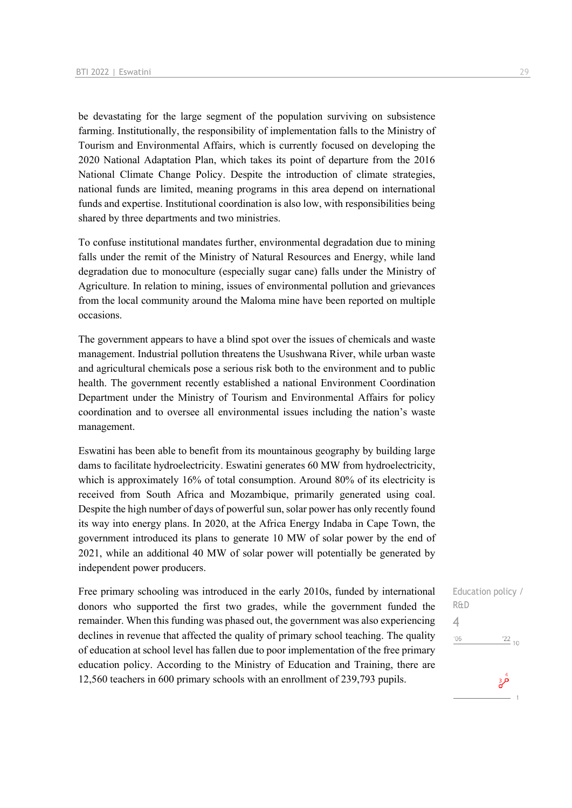be devastating for the large segment of the population surviving on subsistence farming. Institutionally, the responsibility of implementation falls to the Ministry of Tourism and Environmental Affairs, which is currently focused on developing the 2020 National Adaptation Plan, which takes its point of departure from the 2016 National Climate Change Policy. Despite the introduction of climate strategies, national funds are limited, meaning programs in this area depend on international funds and expertise. Institutional coordination is also low, with responsibilities being shared by three departments and two ministries.

To confuse institutional mandates further, environmental degradation due to mining falls under the remit of the Ministry of Natural Resources and Energy, while land degradation due to monoculture (especially sugar cane) falls under the Ministry of Agriculture. In relation to mining, issues of environmental pollution and grievances from the local community around the Maloma mine have been reported on multiple occasions.

The government appears to have a blind spot over the issues of chemicals and waste management. Industrial pollution threatens the Usushwana River, while urban waste and agricultural chemicals pose a serious risk both to the environment and to public health. The government recently established a national Environment Coordination Department under the Ministry of Tourism and Environmental Affairs for policy coordination and to oversee all environmental issues including the nation's waste management.

Eswatini has been able to benefit from its mountainous geography by building large dams to facilitate hydroelectricity. Eswatini generates 60 MW from hydroelectricity, which is approximately 16% of total consumption. Around 80% of its electricity is received from South Africa and Mozambique, primarily generated using coal. Despite the high number of days of powerful sun, solar power has only recently found its way into energy plans. In 2020, at the Africa Energy Indaba in Cape Town, the government introduced its plans to generate 10 MW of solar power by the end of 2021, while an additional 40 MW of solar power will potentially be generated by independent power producers.

Free primary schooling was introduced in the early 2010s, funded by international donors who supported the first two grades, while the government funded the remainder. When this funding was phased out, the government was also experiencing declines in revenue that affected the quality of primary school teaching. The quality of education at school level has fallen due to poor implementation of the free primary education policy. According to the Ministry of Education and Training, there are 12,560 teachers in 600 primary schools with an enrollment of 239,793 pupils.

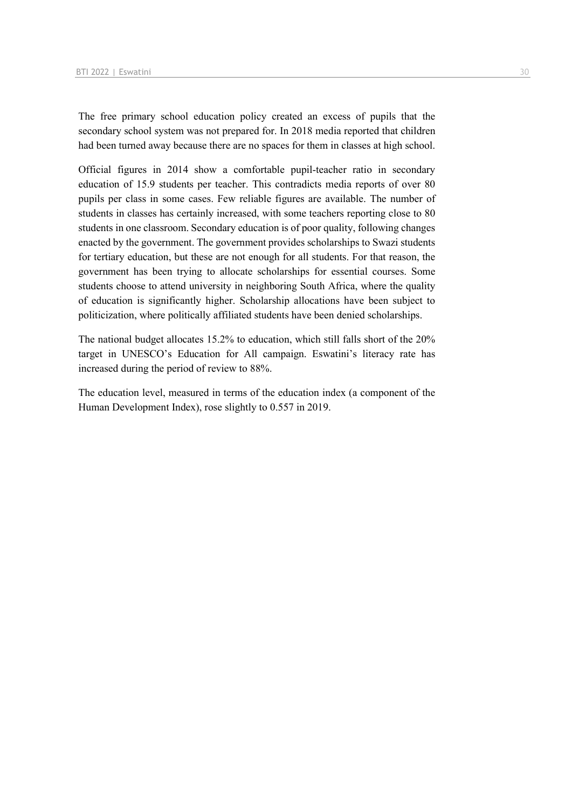The free primary school education policy created an excess of pupils that the secondary school system was not prepared for. In 2018 media reported that children had been turned away because there are no spaces for them in classes at high school.

Official figures in 2014 show a comfortable pupil-teacher ratio in secondary education of 15.9 students per teacher. This contradicts media reports of over 80 pupils per class in some cases. Few reliable figures are available. The number of students in classes has certainly increased, with some teachers reporting close to 80 students in one classroom. Secondary education is of poor quality, following changes enacted by the government. The government provides scholarships to Swazi students for tertiary education, but these are not enough for all students. For that reason, the government has been trying to allocate scholarships for essential courses. Some students choose to attend university in neighboring South Africa, where the quality of education is significantly higher. Scholarship allocations have been subject to politicization, where politically affiliated students have been denied scholarships.

The national budget allocates 15.2% to education, which still falls short of the 20% target in UNESCO's Education for All campaign. Eswatini's literacy rate has increased during the period of review to 88%.

The education level, measured in terms of the education index (a component of the Human Development Index), rose slightly to 0.557 in 2019.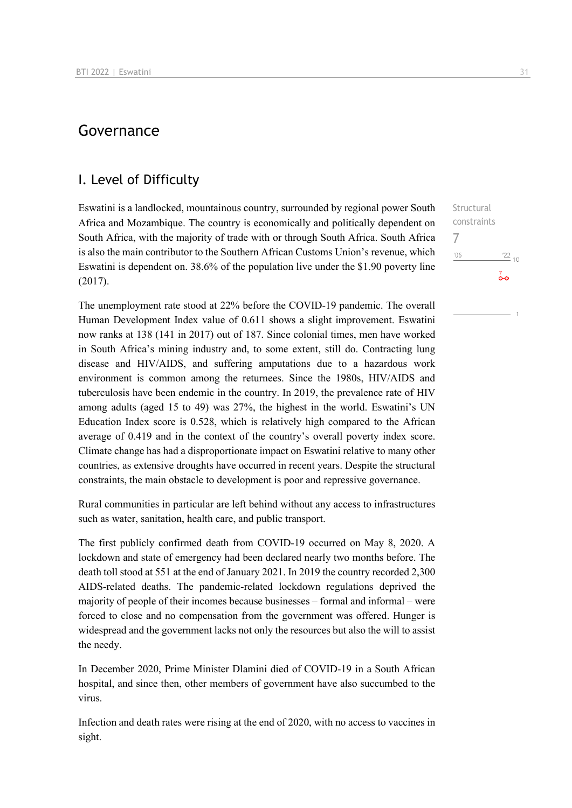# Governance

### I. Level of Difficulty

Eswatini is a landlocked, mountainous country, surrounded by regional power South Africa and Mozambique. The country is economically and politically dependent on South Africa, with the majority of trade with or through South Africa. South Africa is also the main contributor to the Southern African Customs Union's revenue, which Eswatini is dependent on. 38.6% of the population live under the \$1.90 poverty line (2017).

The unemployment rate stood at 22% before the COVID-19 pandemic. The overall Human Development Index value of 0.611 shows a slight improvement. Eswatini now ranks at 138 (141 in 2017) out of 187. Since colonial times, men have worked in South Africa's mining industry and, to some extent, still do. Contracting lung disease and HIV/AIDS, and suffering amputations due to a hazardous work environment is common among the returnees. Since the 1980s, HIV/AIDS and tuberculosis have been endemic in the country. In 2019, the prevalence rate of HIV among adults (aged 15 to 49) was 27%, the highest in the world. Eswatini's UN Education Index score is 0.528, which is relatively high compared to the African average of 0.419 and in the context of the country's overall poverty index score. Climate change has had a disproportionate impact on Eswatini relative to many other countries, as extensive droughts have occurred in recent years. Despite the structural constraints, the main obstacle to development is poor and repressive governance.

Rural communities in particular are left behind without any access to infrastructures such as water, sanitation, health care, and public transport.

The first publicly confirmed death from COVID-19 occurred on May 8, 2020. A lockdown and state of emergency had been declared nearly two months before. The death toll stood at 551 at the end of January 2021. In 2019 the country recorded 2,300 AIDS-related deaths. The pandemic-related lockdown regulations deprived the majority of people of their incomes because businesses – formal and informal – were forced to close and no compensation from the government was offered. Hunger is widespread and the government lacks not only the resources but also the will to assist the needy.

In December 2020, Prime Minister Dlamini died of COVID-19 in a South African hospital, and since then, other members of government have also succumbed to the virus.

Infection and death rates were rising at the end of 2020, with no access to vaccines in sight.

Structural constraints 7 $'06$  $\frac{22}{10}$ စ်စ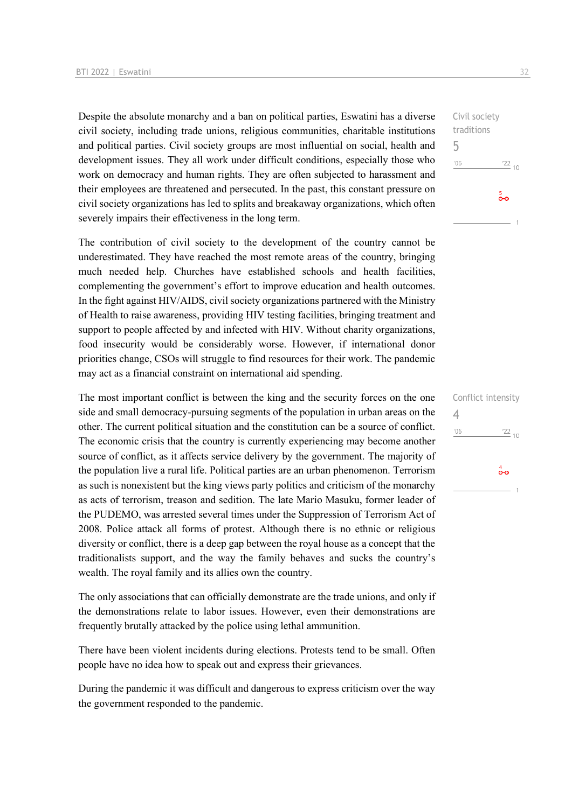Despite the absolute monarchy and a ban on political parties, Eswatini has a diverse civil society, including trade unions, religious communities, charitable institutions and political parties. Civil society groups are most influential on social, health and development issues. They all work under difficult conditions, especially those who work on democracy and human rights. They are often subjected to harassment and their employees are threatened and persecuted. In the past, this constant pressure on civil society organizations has led to splits and breakaway organizations, which often severely impairs their effectiveness in the long term.

The contribution of civil society to the development of the country cannot be underestimated. They have reached the most remote areas of the country, bringing much needed help. Churches have established schools and health facilities, complementing the government's effort to improve education and health outcomes. In the fight against HIV/AIDS, civil society organizations partnered with the Ministry of Health to raise awareness, providing HIV testing facilities, bringing treatment and support to people affected by and infected with HIV. Without charity organizations, food insecurity would be considerably worse. However, if international donor priorities change, CSOs will struggle to find resources for their work. The pandemic may act as a financial constraint on international aid spending.

The most important conflict is between the king and the security forces on the one side and small democracy-pursuing segments of the population in urban areas on the other. The current political situation and the constitution can be a source of conflict. The economic crisis that the country is currently experiencing may become another source of conflict, as it affects service delivery by the government. The majority of the population live a rural life. Political parties are an urban phenomenon. Terrorism as such is nonexistent but the king views party politics and criticism of the monarchy as acts of terrorism, treason and sedition. The late Mario Masuku, former leader of the PUDEMO, was arrested several times under the Suppression of Terrorism Act of 2008. Police attack all forms of protest. Although there is no ethnic or religious diversity or conflict, there is a deep gap between the royal house as a concept that the traditionalists support, and the way the family behaves and sucks the country's wealth. The royal family and its allies own the country.

The only associations that can officially demonstrate are the trade unions, and only if the demonstrations relate to labor issues. However, even their demonstrations are frequently brutally attacked by the police using lethal ammunition.

There have been violent incidents during elections. Protests tend to be small. Often people have no idea how to speak out and express their grievances.

During the pandemic it was difficult and dangerous to express criticism over the way the government responded to the pandemic.



5

 $^{\prime}06$ 

Conflict intensity 4 $\frac{22}{10}$  $^{\prime}06$ 

 $\overset{4}{\bullet}$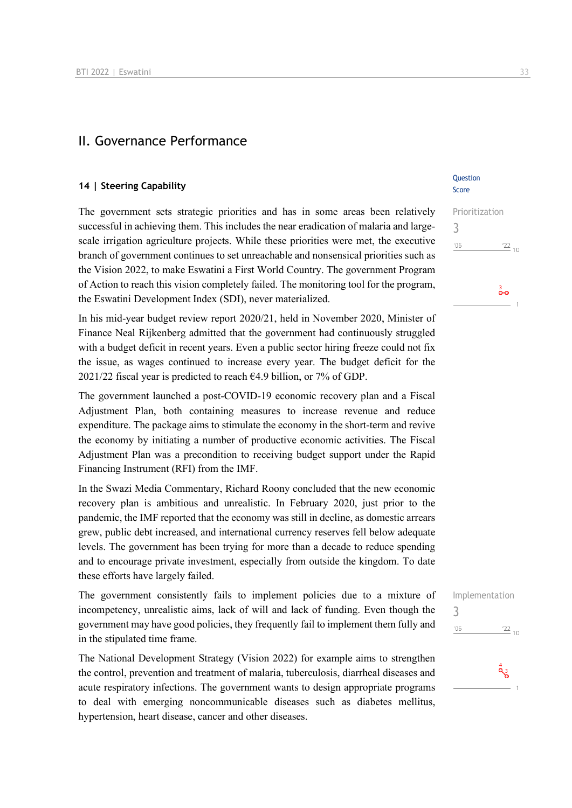### II. Governance Performance

### **14 | Steering Capability**

The government sets strategic priorities and has in some areas been relatively successful in achieving them. This includes the near eradication of malaria and largescale irrigation agriculture projects. While these priorities were met, the executive branch of government continues to set unreachable and nonsensical priorities such as the Vision 2022, to make Eswatini a First World Country. The government Program of Action to reach this vision completely failed. The monitoring tool for the program, the Eswatini Development Index (SDI), never materialized.

In his mid-year budget review report 2020/21, held in November 2020, Minister of Finance Neal Rijkenberg admitted that the government had continuously struggled with a budget deficit in recent years. Even a public sector hiring freeze could not fix the issue, as wages continued to increase every year. The budget deficit for the 2021/22 fiscal year is predicted to reach  $64.9$  billion, or 7% of GDP.

The government launched a post-COVID-19 economic recovery plan and a Fiscal Adjustment Plan, both containing measures to increase revenue and reduce expenditure. The package aims to stimulate the economy in the short-term and revive the economy by initiating a number of productive economic activities. The Fiscal Adjustment Plan was a precondition to receiving budget support under the Rapid Financing Instrument (RFI) from the IMF.

In the Swazi Media Commentary, Richard Roony concluded that the new economic recovery plan is ambitious and unrealistic. In February 2020, just prior to the pandemic, the IMF reported that the economy was still in decline, as domestic arrears grew, public debt increased, and international currency reserves fell below adequate levels. The government has been trying for more than a decade to reduce spending and to encourage private investment, especially from outside the kingdom. To date these efforts have largely failed.

The government consistently fails to implement policies due to a mixture of incompetency, unrealistic aims, lack of will and lack of funding. Even though the government may have good policies, they frequently fail to implement them fully and in the stipulated time frame.

The National Development Strategy (Vision 2022) for example aims to strengthen the control, prevention and treatment of malaria, tuberculosis, diarrheal diseases and acute respiratory infections. The government wants to design appropriate programs to deal with emerging noncommunicable diseases such as diabetes mellitus, hypertension, heart disease, cancer and other diseases.

### **Ouestion** Score

Prioritization 3  $\frac{22}{10}$  $'06$ 

Implementation 3 $\frac{22}{10}$  $106$ 

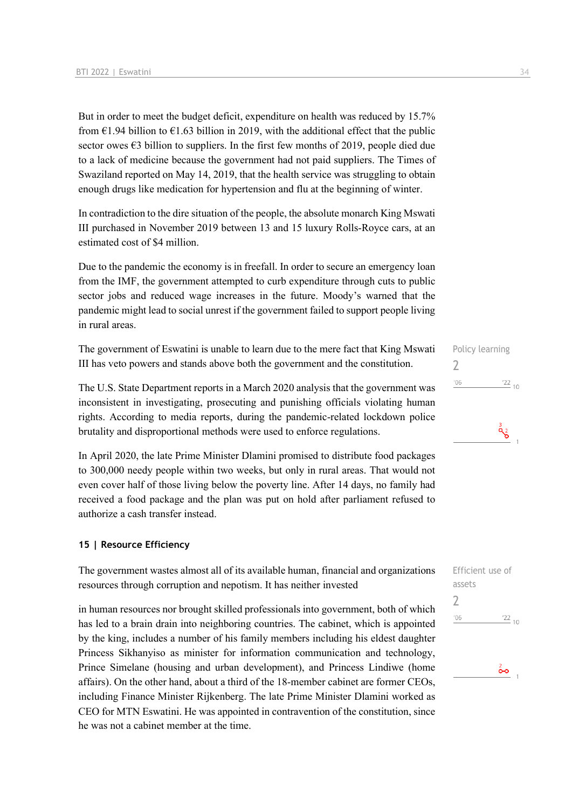But in order to meet the budget deficit, expenditure on health was reduced by 15.7% from  $\epsilon$ 1.94 billion to  $\epsilon$ 1.63 billion in 2019, with the additional effect that the public sector owes  $\epsilon$ 3 billion to suppliers. In the first few months of 2019, people died due to a lack of medicine because the government had not paid suppliers. The Times of Swaziland reported on May 14, 2019, that the health service was struggling to obtain enough drugs like medication for hypertension and flu at the beginning of winter.

In contradiction to the dire situation of the people, the absolute monarch King Mswati III purchased in November 2019 between 13 and 15 luxury Rolls-Royce cars, at an estimated cost of \$4 million.

Due to the pandemic the economy is in freefall. In order to secure an emergency loan from the IMF, the government attempted to curb expenditure through cuts to public sector jobs and reduced wage increases in the future. Moody's warned that the pandemic might lead to social unrest if the government failed to support people living in rural areas.

The government of Eswatini is unable to learn due to the mere fact that King Mswati III has veto powers and stands above both the government and the constitution.

The U.S. State Department reports in a March 2020 analysis that the government was inconsistent in investigating, prosecuting and punishing officials violating human rights. According to media reports, during the pandemic-related lockdown police brutality and disproportional methods were used to enforce regulations.

In April 2020, the late Prime Minister Dlamini promised to distribute food packages to 300,000 needy people within two weeks, but only in rural areas. That would not even cover half of those living below the poverty line. After 14 days, no family had received a food package and the plan was put on hold after parliament refused to authorize a cash transfer instead.

### **15 | Resource Efficiency**

The government wastes almost all of its available human, financial and organizations resources through corruption and nepotism. It has neither invested

in human resources nor brought skilled professionals into government, both of which has led to a brain drain into neighboring countries. The cabinet, which is appointed by the king, includes a number of his family members including his eldest daughter Princess Sikhanyiso as minister for information communication and technology, Prince Simelane (housing and urban development), and Princess Lindiwe (home affairs). On the other hand, about a third of the 18-member cabinet are former CEOs, including Finance Minister Rijkenberg. The late Prime Minister Dlamini worked as CEO for MTN Eswatini. He was appointed in contravention of the constitution, since he was not a cabinet member at the time.

 $\mathbf{a}^3$ 

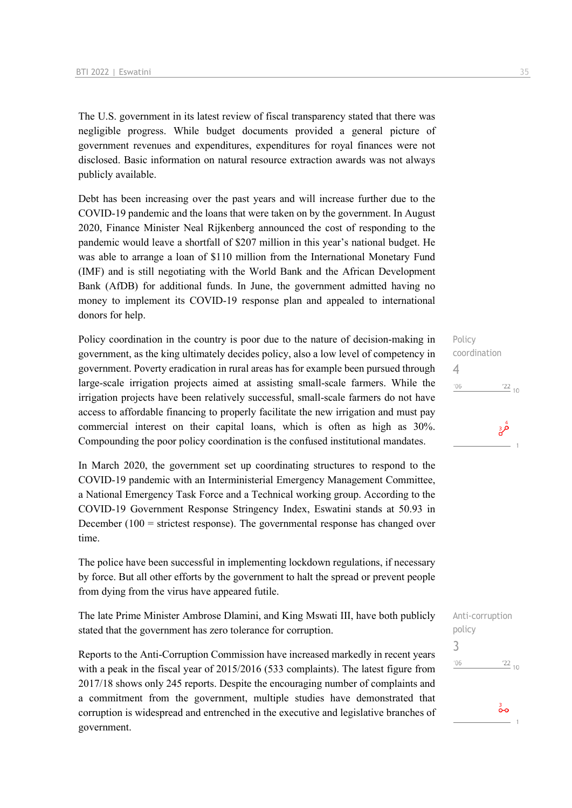The U.S. government in its latest review of fiscal transparency stated that there was negligible progress. While budget documents provided a general picture of government revenues and expenditures, expenditures for royal finances were not disclosed. Basic information on natural resource extraction awards was not always publicly available.

Debt has been increasing over the past years and will increase further due to the COVID-19 pandemic and the loans that were taken on by the government. In August 2020, Finance Minister Neal Rijkenberg announced the cost of responding to the pandemic would leave a shortfall of \$207 million in this year's national budget. He was able to arrange a loan of \$110 million from the International Monetary Fund (IMF) and is still negotiating with the World Bank and the African Development Bank (AfDB) for additional funds. In June, the government admitted having no money to implement its COVID-19 response plan and appealed to international donors for help.

Policy coordination in the country is poor due to the nature of decision-making in government, as the king ultimately decides policy, also a low level of competency in government. Poverty eradication in rural areas has for example been pursued through large-scale irrigation projects aimed at assisting small-scale farmers. While the irrigation projects have been relatively successful, small-scale farmers do not have access to affordable financing to properly facilitate the new irrigation and must pay commercial interest on their capital loans, which is often as high as 30%. Compounding the poor policy coordination is the confused institutional mandates.

In March 2020, the government set up coordinating structures to respond to the COVID-19 pandemic with an Interministerial Emergency Management Committee, a National Emergency Task Force and a Technical working group. According to the COVID-19 Government Response Stringency Index, Eswatini stands at 50.93 in December  $(100 = \text{strictest response})$ . The governmental response has changed over time.

The police have been successful in implementing lockdown regulations, if necessary by force. But all other efforts by the government to halt the spread or prevent people from dying from the virus have appeared futile.

The late Prime Minister Ambrose Dlamini, and King Mswati III, have both publicly stated that the government has zero tolerance for corruption.

Reports to the Anti-Corruption Commission have increased markedly in recent years with a peak in the fiscal year of 2015/2016 (533 complaints). The latest figure from 2017/18 shows only 245 reports. Despite the encouraging number of complaints and a commitment from the government, multiple studies have demonstrated that corruption is widespread and entrenched in the executive and legislative branches of government.

Policy coordination 4  $'06$  $\frac{22}{10}$ قرة

```
Anti-corruption 
policy
3\frac{22}{10}^{\prime}06
```
စိတ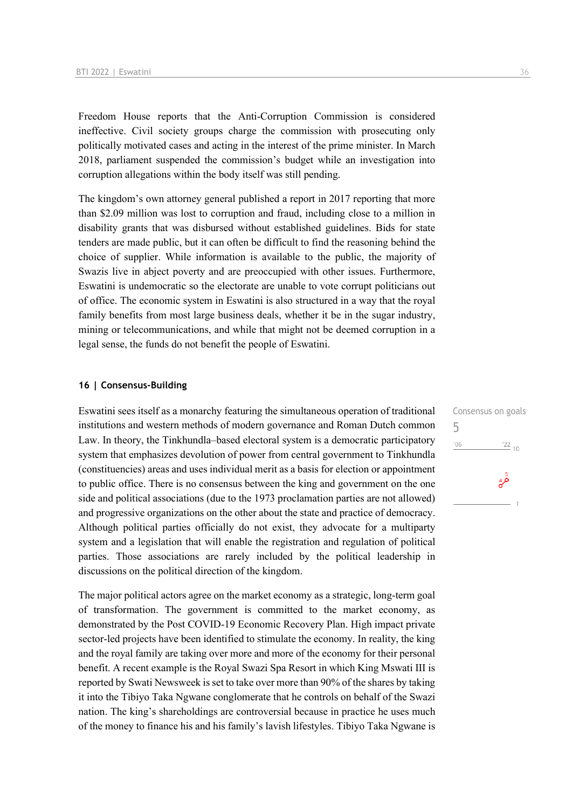Freedom House reports that the Anti-Corruption Commission is considered ineffective. Civil society groups charge the commission with prosecuting only politically motivated cases and acting in the interest of the prime minister. In March 2018, parliament suspended the commission's budget while an investigation into corruption allegations within the body itself was still pending.

The kingdom's own attorney general published a report in 2017 reporting that more than \$2.09 million was lost to corruption and fraud, including close to a million in disability grants that was disbursed without established guidelines. Bids for state tenders are made public, but it can often be difficult to find the reasoning behind the choice of supplier. While information is available to the public, the majority of Swazis live in abject poverty and are preoccupied with other issues. Furthermore, Eswatini is undemocratic so the electorate are unable to vote corrupt politicians out of office. The economic system in Eswatini is also structured in a way that the royal family benefits from most large business deals, whether it be in the sugar industry, mining or telecommunications, and while that might not be deemed corruption in a legal sense, the funds do not benefit the people of Eswatini.

### **16 | Consensus-Building**

Eswatini sees itself as a monarchy featuring the simultaneous operation of traditional institutions and western methods of modern governance and Roman Dutch common Law. In theory, the Tinkhundla–based electoral system is a democratic participatory system that emphasizes devolution of power from central government to Tinkhundla (constituencies) areas and uses individual merit as a basis for election or appointment to public office. There is no consensus between the king and government on the one side and political associations (due to the 1973 proclamation parties are not allowed) and progressive organizations on the other about the state and practice of democracy. Although political parties officially do not exist, they advocate for a multiparty system and a legislation that will enable the registration and regulation of political parties. Those associations are rarely included by the political leadership in discussions on the political direction of the kingdom.

The major political actors agree on the market economy as a strategic, long-term goal of transformation. The government is committed to the market economy, as demonstrated by the Post COVID-19 Economic Recovery Plan. High impact private sector-led projects have been identified to stimulate the economy. In reality, the king and the royal family are taking over more and more of the economy for their personal benefit. A recent example is the Royal Swazi Spa Resort in which King Mswati III is reported by Swati Newsweek is set to take over more than 90% of the shares by taking it into the Tibiyo Taka Ngwane conglomerate that he controls on behalf of the Swazi nation. The king's shareholdings are controversial because in practice he uses much of the money to finance his and his family's lavish lifestyles. Tibiyo Taka Ngwane is Consensus on goals 5 $'06$  $\frac{22}{10}$ قر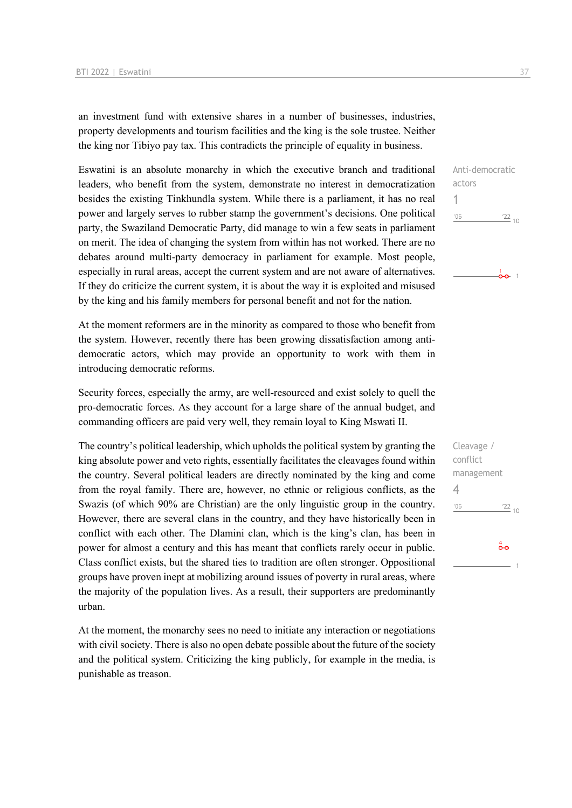an investment fund with extensive shares in a number of businesses, industries, property developments and tourism facilities and the king is the sole trustee. Neither the king nor Tibiyo pay tax. This contradicts the principle of equality in business.

Eswatini is an absolute monarchy in which the executive branch and traditional leaders, who benefit from the system, demonstrate no interest in democratization besides the existing Tinkhundla system. While there is a parliament, it has no real power and largely serves to rubber stamp the government's decisions. One political party, the Swaziland Democratic Party, did manage to win a few seats in parliament on merit. The idea of changing the system from within has not worked. There are no debates around multi-party democracy in parliament for example. Most people, especially in rural areas, accept the current system and are not aware of alternatives. If they do criticize the current system, it is about the way it is exploited and misused by the king and his family members for personal benefit and not for the nation.

At the moment reformers are in the minority as compared to those who benefit from the system. However, recently there has been growing dissatisfaction among antidemocratic actors, which may provide an opportunity to work with them in introducing democratic reforms.

Security forces, especially the army, are well-resourced and exist solely to quell the pro-democratic forces. As they account for a large share of the annual budget, and commanding officers are paid very well, they remain loyal to King Mswati II.

The country's political leadership, which upholds the political system by granting the king absolute power and veto rights, essentially facilitates the cleavages found within the country. Several political leaders are directly nominated by the king and come from the royal family. There are, however, no ethnic or religious conflicts, as the Swazis (of which 90% are Christian) are the only linguistic group in the country. However, there are several clans in the country, and they have historically been in conflict with each other. The Dlamini clan, which is the king's clan, has been in power for almost a century and this has meant that conflicts rarely occur in public. Class conflict exists, but the shared ties to tradition are often stronger. Oppositional groups have proven inept at mobilizing around issues of poverty in rural areas, where the majority of the population lives. As a result, their supporters are predominantly urban.

At the moment, the monarchy sees no need to initiate any interaction or negotiations with civil society. There is also no open debate possible about the future of the society and the political system. Criticizing the king publicly, for example in the media, is punishable as treason.



Anti-democratic actors 1  $'06$  $122_{10}$  $\frac{1}{0}$  0  $\frac{1}{1}$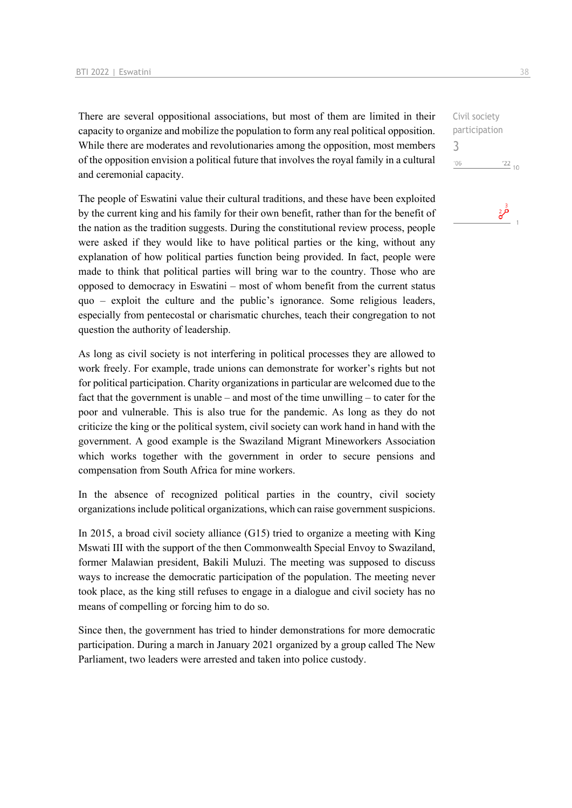There are several oppositional associations, but most of them are limited in their capacity to organize and mobilize the population to form any real political opposition. While there are moderates and revolutionaries among the opposition, most members of the opposition envision a political future that involves the royal family in a cultural and ceremonial capacity.

The people of Eswatini value their cultural traditions, and these have been exploited by the current king and his family for their own benefit, rather than for the benefit of the nation as the tradition suggests. During the constitutional review process, people were asked if they would like to have political parties or the king, without any explanation of how political parties function being provided. In fact, people were made to think that political parties will bring war to the country. Those who are opposed to democracy in Eswatini – most of whom benefit from the current status quo – exploit the culture and the public's ignorance. Some religious leaders, especially from pentecostal or charismatic churches, teach their congregation to not question the authority of leadership.

As long as civil society is not interfering in political processes they are allowed to work freely. For example, trade unions can demonstrate for worker's rights but not for political participation. Charity organizations in particular are welcomed due to the fact that the government is unable – and most of the time unwilling – to cater for the poor and vulnerable. This is also true for the pandemic. As long as they do not criticize the king or the political system, civil society can work hand in hand with the government. A good example is the Swaziland Migrant Mineworkers Association which works together with the government in order to secure pensions and compensation from South Africa for mine workers.

In the absence of recognized political parties in the country, civil society organizations include political organizations, which can raise government suspicions.

In 2015, a broad civil society alliance (G15) tried to organize a meeting with King Mswati III with the support of the then Commonwealth Special Envoy to Swaziland, former Malawian president, Bakili Muluzi. The meeting was supposed to discuss ways to increase the democratic participation of the population. The meeting never took place, as the king still refuses to engage in a dialogue and civil society has no means of compelling or forcing him to do so.

Since then, the government has tried to hinder demonstrations for more democratic participation. During a march in January 2021 organized by a group called The New Parliament, two leaders were arrested and taken into police custody.

Civil society participation 3 $^{\prime}06$  $\frac{22}{10}$ 

مچ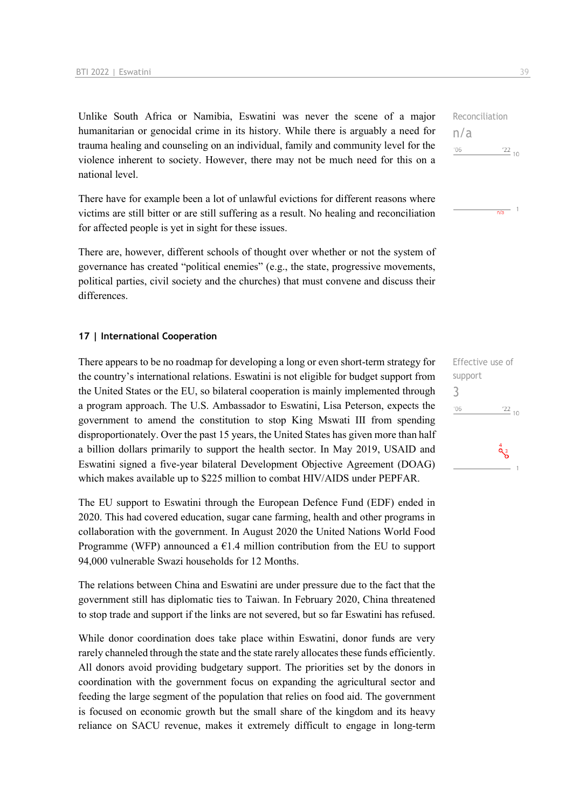Unlike South Africa or Namibia, Eswatini was never the scene of a major humanitarian or genocidal crime in its history. While there is arguably a need for trauma healing and counseling on an individual, family and community level for the violence inherent to society. However, there may not be much need for this on a national level.

There have for example been a lot of unlawful evictions for different reasons where victims are still bitter or are still suffering as a result. No healing and reconciliation for affected people is yet in sight for these issues.

There are, however, different schools of thought over whether or not the system of governance has created "political enemies" (e.g., the state, progressive movements, political parties, civil society and the churches) that must convene and discuss their differences.

### **17 | International Cooperation**

There appears to be no roadmap for developing a long or even short-term strategy for the country's international relations. Eswatini is not eligible for budget support from the United States or the EU, so bilateral cooperation is mainly implemented through a program approach. The U.S. Ambassador to Eswatini, Lisa Peterson, expects the government to amend the constitution to stop King Mswati III from spending disproportionately. Over the past 15 years, the United States has given more than half a billion dollars primarily to support the health sector. In May 2019, USAID and Eswatini signed a five-year bilateral Development Objective Agreement (DOAG) which makes available up to \$225 million to combat HIV/AIDS under PEPFAR.

The EU support to Eswatini through the European Defence Fund (EDF) ended in 2020. This had covered education, sugar cane farming, health and other programs in collaboration with the government. In August 2020 the United Nations World Food Programme (WFP) announced a  $E1.4$  million contribution from the EU to support 94,000 vulnerable Swazi households for 12 Months.

The relations between China and Eswatini are under pressure due to the fact that the government still has diplomatic ties to Taiwan. In February 2020, China threatened to stop trade and support if the links are not severed, but so far Eswatini has refused.

While donor coordination does take place within Eswatini, donor funds are very rarely channeled through the state and the state rarely allocates these funds efficiently. All donors avoid providing budgetary support. The priorities set by the donors in coordination with the government focus on expanding the agricultural sector and feeding the large segment of the population that relies on food aid. The government is focused on economic growth but the small share of the kingdom and its heavy reliance on SACU revenue, makes it extremely difficult to engage in long-term

Reconciliation n/a  $'06$  $^{22}$  10



| Effective use of |                             |
|------------------|-----------------------------|
| support          |                             |
| 3                |                             |
| '06              | $\frac{22}{10}$             |
|                  |                             |
|                  | $\overset{4}{\mathbf{Q}}$ 3 |
|                  |                             |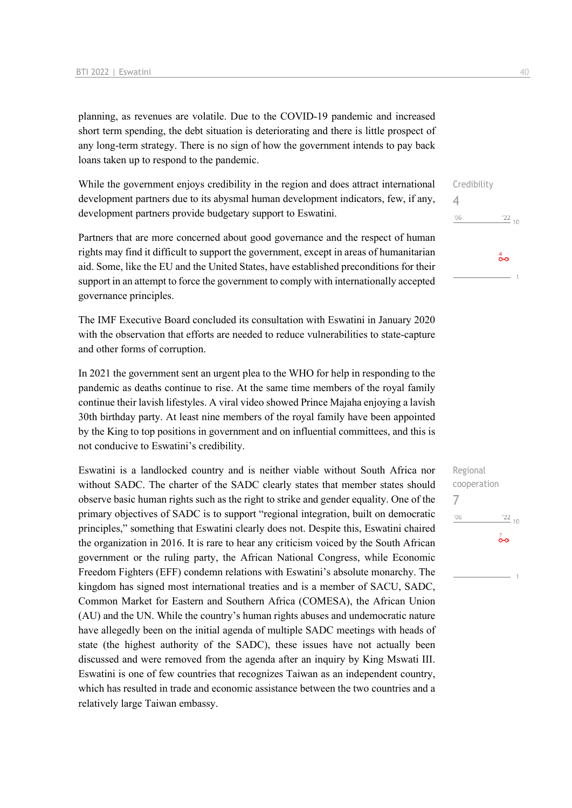planning, as revenues are volatile. Due to the COVID-19 pandemic and increased short term spending, the debt situation is deteriorating and there is little prospect of any long-term strategy. There is no sign of how the government intends to pay back loans taken up to respond to the pandemic.

While the government enjoys credibility in the region and does attract international development partners due to its abysmal human development indicators, few, if any, development partners provide budgetary support to Eswatini.

Partners that are more concerned about good governance and the respect of human rights may find it difficult to support the government, except in areas of humanitarian aid. Some, like the EU and the United States, have established preconditions for their support in an attempt to force the government to comply with internationally accepted governance principles.

The IMF Executive Board concluded its consultation with Eswatini in January 2020 with the observation that efforts are needed to reduce vulnerabilities to state-capture and other forms of corruption.

In 2021 the government sent an urgent plea to the WHO for help in responding to the pandemic as deaths continue to rise. At the same time members of the royal family continue their lavish lifestyles. A viral video showed Prince Majaha enjoying a lavish 30th birthday party. At least nine members of the royal family have been appointed by the King to top positions in government and on influential committees, and this is not conducive to Eswatini's credibility.

Eswatini is a landlocked country and is neither viable without South Africa nor without SADC. The charter of the SADC clearly states that member states should observe basic human rights such as the right to strike and gender equality. One of the primary objectives of SADC is to support "regional integration, built on democratic principles," something that Eswatini clearly does not. Despite this, Eswatini chaired the organization in 2016. It is rare to hear any criticism voiced by the South African government or the ruling party, the African National Congress, while Economic Freedom Fighters (EFF) condemn relations with Eswatini's absolute monarchy. The kingdom has signed most international treaties and is a member of SACU, SADC, Common Market for Eastern and Southern Africa (COMESA), the African Union (AU) and the UN. While the country's human rights abuses and undemocratic nature have allegedly been on the initial agenda of multiple SADC meetings with heads of state (the highest authority of the SADC), these issues have not actually been discussed and were removed from the agenda after an inquiry by King Mswati III. Eswatini is one of few countries that recognizes Taiwan as an independent country, which has resulted in trade and economic assistance between the two countries and a relatively large Taiwan embassy.

Credibility 4  $\frac{22}{10}$  $'06$  $\overset{4}{\bullet}$ o

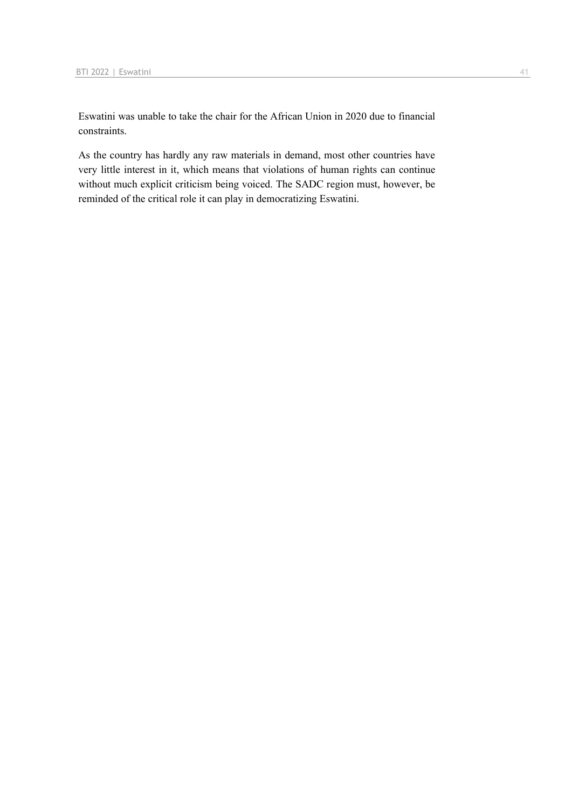Eswatini was unable to take the chair for the African Union in 2020 due to financial constraints.

As the country has hardly any raw materials in demand, most other countries have very little interest in it, which means that violations of human rights can continue without much explicit criticism being voiced. The SADC region must, however, be reminded of the critical role it can play in democratizing Eswatini.